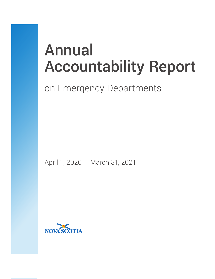# Annual Accountability Report

## on Emergency Departments

April 1, 2020 – March 31, 2021

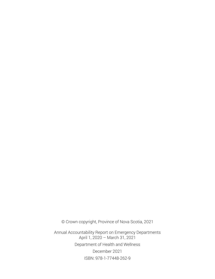© Crown copyright, Province of Nova Scotia, 2021

Annual Accountability Report on Emergency Departments April 1, 2020 – March 31, 2021 Department of Health and Wellness December 2021 ISBN: 978-1-77448-262-9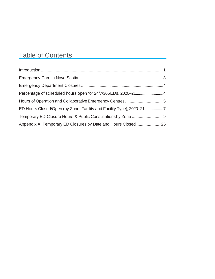## Table of Contents

| ED Hours Closed/Open (by Zone, Facility and Facility Type), 2020-21 7 |  |
|-----------------------------------------------------------------------|--|
|                                                                       |  |
| Appendix A: Temporary ED Closures by Date and Hours Closed  26        |  |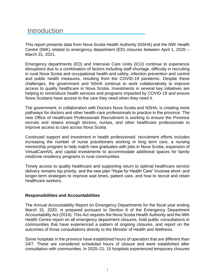## **Introduction**

This report presents data from Nova Scotia Health Authority (NSHA) and the IWK Health Centre (IWK) related to emergency department (ED) closures between April 1, 2020 – March 31, 2021.

Emergency departments (ED) and Intensive Care Units (ICU) continue to experience disruptions due to a combination of factors including staff shortage, difficulty in recruiting in rural Nova Scotia and occupational health and safety, infection prevention and control and public health measures, resulting from the COVID-19 pandemic. Despite these challenges, the government and NSHA continue to work collaboratively to improve access to quality healthcare in Nova Scotia. Investments in several key initiatives are helping to reintroduce health services and programs impacted by COVID-19 and ensure Nova Scotians have access to the care they need when they need it.

The government, in collaboration with Doctors Nova Scotia and NSHA, is creating more pathways for doctors and other health-care professionals to practice in the province. The new Office of Healthcare Professionals Recruitment is working to ensure the Province recruits and retains enough doctors, nurses, and other healthcare professionals to improve access to care across Nova Scotia.

Continued support and investment in health professionals' recruitment efforts includes increasing the number of nurse practitioners working in long term care, a nursing mentorship program to help match new graduates with jobs in Nova Scotia, expansion of VirtualCareNS, and capital investments to accommodate additional spaces for family medicine residency programs in rural communities.

Timely access to quality healthcare and supporting return to optimal healthcare service delivery remains top priority, and the new plan "Hope for Health Care" involves short- and longer-term strategies to improve wait times, patient care, and how to recruit and retain healthcare workers.

#### **Responsibilities and Accountabilities**

The Annual Accountability Report on Emergency Departments for the fiscal year ending March 31, 2020, is prepared pursuant to Section 6 of the Emergency Department Accountability Act (2014). This Act requires the Nova Scotia Health Authority and the IWK Health Centre report on all emergency department closures, hold public consultations in communities that have experienced a pattern of ongoing closures, and report on the outcomes of those consultations directly to the Minister of Health and Wellness.

Some hospitals in the province have established hours of operation that are different than 24/7. These are considered scheduled hours of closure and were established after consultation with communities. In 2020–21, 15 hospitals experienced temporary closures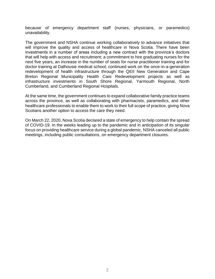because of emergency department staff (nurses, physicians, or paramedics) unavailability.

The government and NSHA continue working collaboratively to advance initiatives that will improve the quality and access of healthcare in Nova Scotia. There have been investments in a number of areas including a new contract with the province's doctors that will help with access and recruitment; a commitment to hire graduating nurses for the next five years, an increase in the number of seats for nurse practitioner training and for doctor training at Dalhousie medical school; continued work on the once-in-a-generation redevelopment of health infrastructure through the QEII New Generation and Cape Breton Regional Municipality Health Care Redevelopment projects as well as infrastructure investments in South Shore Regional, Yarmouth Regional, North Cumberland, and Cumberland Regional Hospitals.

At the same time, the government continues to expand collaborative family practice teams across the province, as well as collaborating with pharmacists, paramedics, and other healthcare professionals to enable them to work to their full scope of practice, giving Nova Scotians another option to access the care they need.

On March 22, 2020, Nova Scotia declared a state of emergency to help contain the spread of COVID-19. In the weeks leading up to the pandemic and in anticipation of its singular focus on providing healthcare service during a global pandemic, NSHA canceled all public meetings, including public consultations, on emergency department closures.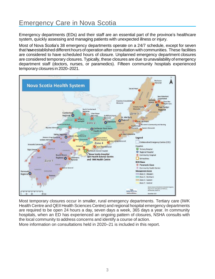## <span id="page-5-0"></span>Emergency Care in Nova Scotia

Emergency departments (EDs) and their staff are an essential part of the province's healthcare system, quickly assessing and managing patients with unexpected illness or injury.

Most of Nova Scotia's 38 emergency departments operate on a 24/7 schedule, except for seven that haveestablished different hours of operation after consultation with communities. These facilities are considered to have scheduled hours of closure. Unplanned emergency department closures are considered temporary closures. Typically, these closures are due to unavailability of emergency department staff (doctors, nurses, or paramedics). Fifteen community hospitals experienced temporary closures in 2020–2021.



Most temporary closures occur in smaller, rural emergency departments. Tertiary care (IWK Health Centre and QEII Health Sciences Centre) and regional hospital emergency departments are required to be open 24 hours a day, seven days a week, 365 days a year. In community hospitals, when an ED has experienced an ongoing pattern of closures, NSHA consults with the local community to address concerns and identify a course of action.

More information on consultations held in 2020–21 is included in this report.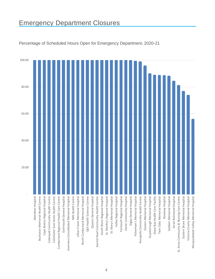## Emergency Department Closures



Percentage of Scheduled Hours Open for Emergency Department, 2020-21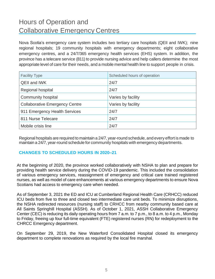## Hours of Operation and Collaborative Emergency Centres

Nova Scotia's emergency care system includes two tertiary care hospitals (QEII and IWK); nine regional hospitals; 19 community hospitals with emergency departments; eight collaborative emergency centres, and a 24/7/365 emergency health services (EHS) system. In addition, the province has a telecare service (811) to provide nursing advice and help callers determine the most appropriate level of care for their needs, and a mobile mental health line to support people in crisis.

| <b>Facility Type</b>                  | Scheduled hours of operation |
|---------------------------------------|------------------------------|
| <b>QEII and IWK</b>                   | 24/7                         |
| Regional hospital                     | 24/7                         |
| <b>Community hospital</b>             | Varies by facility           |
| <b>Collaborative Emergency Centre</b> | Varies by facility           |
| 911 Emergency Health Services         | 24/7                         |
| 811 Nurse Telecare                    | 24/7                         |
| Mobile crisis line                    | 24/7                         |

Regional hospitals are required to maintain a 24/7, year-round schedule, and every effort is made to maintain a 24/7, year-round schedule for community hospitals with emergency departments.

#### **CHANGES TO SCHEDULED HOURS IN 2020–21**

At the beginning of 2020, the province worked collaboratively with NSHA to plan and prepare for providing health service delivery during the COVID-19 pandemic. This included the consolidation of various emergency services, reassignment of emergency and critical care trained registered nurses, as well as model of care enhancements at various emergency departments to ensure Nova Scotians had access to emergency care when needed.

As of September 3, 2021 the ED and ICU at Cumberland Regional Health Care (CRHCC) reduced ICU beds from five to three and closed two intermediate care unit beds. To minimize disruptions, the NSHA redirected resources (nursing staff) to CRHCC from nearby community based care at All Saints Springhill Hospital (ASSH). As of October 1, 2021, ASSH Collaborative Emergency Center (CEC) is reducing its daily operating hours from 7 a.m. to 7 p.m., to 8 a.m. to 4 p.m., Monday to Friday, freeing up four full-time equivalent (FTE) registered nurses (RN) for redeployment to the CHRCC Emergency department.

On September 29, 2019, the New Waterford Consolidated Hospital closed its emergency department to complete renovations as required by the local fire marshal.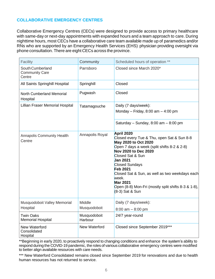#### **COLLABORATIVE EMERGENCY CENTRES**

Collaborative Emergency Centres (CECs) were designed to provide access to primary healthcare with same-day or next-day appointments with expanded hours and a team approach to care. During nighttime hours, most CECs have a collaborative care team available made up of paramedics and/or RNs who are supported by an Emergency Health Services (EHS) physician providing oversight via phone consultation. There are eight CECs across the province.

| Facility                                            | Community               | Scheduled hours of operation **                                                                                                                                                                                                                                                                                                                                                                    |
|-----------------------------------------------------|-------------------------|----------------------------------------------------------------------------------------------------------------------------------------------------------------------------------------------------------------------------------------------------------------------------------------------------------------------------------------------------------------------------------------------------|
| South Cumberland<br><b>Community Care</b><br>Centre | Parrsboro               | Closed since March 2020*                                                                                                                                                                                                                                                                                                                                                                           |
| All Saints Springhill Hospital                      | Springhill              | Closed                                                                                                                                                                                                                                                                                                                                                                                             |
| <b>North Cumberland Memorial</b><br>Hospital        | Pugwash                 | Closed                                                                                                                                                                                                                                                                                                                                                                                             |
| Lillian Fraser Memorial Hospital                    | Tatamagouche            | Daily (7 days/week):<br>Monday - Friday, $8:00$ am - $4:00$ pm<br>Saturday - Sunday, $8:00$ am - $8:00$ pm                                                                                                                                                                                                                                                                                         |
| <b>Annapolis Community Health</b><br>Centre         | Annapolis Royal         | April 2020<br>Closed every Tue & Thu, open Sat & Sun 8-8<br>May 2020 to Oct 2020<br>Open 7 days a week (split shifts 8-2 & 2-8)<br>Nov 2020 to Dec 2020<br>Closed Sat & Sun<br><b>Jan 2021</b><br><b>Closed Sundays</b><br><b>Feb 2021</b><br>Closed Sat & Sun, as well as two weekdays each<br>week.<br><b>Mar 2021</b><br>Open (8-8) Mon-Fri (mostly split shifts 8-3 & 1-8),<br>(8-3) Sat & Sun |
| Musquodoboit Valley Memorial<br>Hospital            | Middle<br>Musquodoboit  | Daily (7 days/week):<br>$8:00$ am $-8:00$ pm                                                                                                                                                                                                                                                                                                                                                       |
| <b>Twin Oaks</b><br><b>Memorial Hospital</b>        | Musquodoboit<br>Harbour | 24/7 year-round                                                                                                                                                                                                                                                                                                                                                                                    |
| New Waterford<br>Consolidated<br>Hospital           | New Waterford           | Closed since September 2019***                                                                                                                                                                                                                                                                                                                                                                     |

\*\*Beginning in early 2020, to proactively respond to changing conditions and enhance the system's ability to respond during the COVID-19 pandemic, the roles of various collaborative emergency centres were modified to better align available resources with care needs.

\*\*\* New Waterford Consolidated remains closed since September 2019 for renovations and due to health human resources has not returned to service.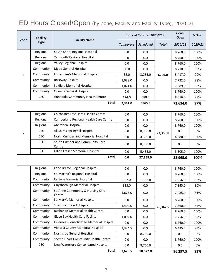## ED Hours Closed/Open (by Zone, Facility and Facility Type), 2020–21

| Zone         | Facility    | <b>Facility Name</b>              | Hours of Closure (2020/21) |                  |        | <b>Hours</b><br>Open | % Open  |
|--------------|-------------|-----------------------------------|----------------------------|------------------|--------|----------------------|---------|
|              | <b>Type</b> |                                   | Temporary                  | <b>Scheduled</b> | Total  | 2020/21              | 2020/21 |
|              | Regional    | South Shore Regional Hospital     | 0.0                        | 0.0              |        | 8,760.0              | 100%    |
|              | Regional    | Yarmouth Regional Hospital        | 0.0                        | 0.0              | 6206.0 | 8,760.0              | 100%    |
|              | Regional    | Valley Regional Hospital          | 0.0                        | 0.0              |        | 8,760.0              | 100%    |
|              | Community   | Digby General Hospital            | 50.0                       | 0.0              |        | 8.710.0              | 99%     |
| $\mathbf{1}$ | Community   | Fishermen's Memorial Hospital     | 58.0                       | 3,285.0          |        | 5,417.0              | 99%     |
|              | Community   | Roseway Hospital                  | 1,038.0                    | 0.0              |        | 7,722.0              | 88%     |
|              | Community   | Soldiers Memorial Hospital        | 1,071.0                    | 0.0              |        | 7,689.0              | 88%     |
|              | Community   | Queens General Hospital           | 0.0                        | 0.0              |        | 8,760.0              | 100%    |
|              | CEC.        | Annapolis Community Health Centre | 124.0                      | 580.0            |        | 8,056.0              | 98%     |
|              |             | Total                             | 2.341.0                    | 3865.0           |        | 72,634.0             | 97%     |

|   |            | <b>Total</b>                                  | 0.0 | 27.355.0 |          | 33.965.0 | 100% |
|---|------------|-----------------------------------------------|-----|----------|----------|----------|------|
|   | CEC        | Lillian Fraser Memorial Hospital              | 0.0 | 5,455.0  |          | 3,305.0  | 100% |
|   | CEC        | South Cumberland Community Care<br>Centre     | 0.0 | 8,760.0  |          | 0.0      | 0%   |
|   | <b>CEC</b> | North Cumberland Memorial Hospital            | 0.0 | 4,380.0  |          | 4,380.0  | 100% |
| 2 | <b>CEC</b> | All Saints Springhill Hospital                | 0.0 | 8,760.0  | 27,355.0 | 0.0      | 0%   |
|   | Regional   | Aberdeen Hospital                             | 0.0 | 0.0      |          | 8,760.0  | 100% |
|   | Regional   | <b>Cumberland Regional Health Care Centre</b> | 0.0 | 0.0      |          | 8,760.0  | 100% |
|   | Regional   | Colchester East Hants Health Centre           | 0.0 | 0.0      |          | 8,760.0  | 100% |

|   | Regional  | Cape Breton Regional Hospital               | 0.0     | 0.0     |          | 8,760.0 | 100% |
|---|-----------|---------------------------------------------|---------|---------|----------|---------|------|
|   | Regional  | St. Martha's Regional Hospital              | 0.0     | 0.0     |          | 8,760.0 | 100% |
|   | Community | Eastern Memorial Hospital                   | 352.0   | 1,152.0 |          | 7,256.0 | 95%  |
|   | Community | Guysborough Memorial Hospital               | 915.0   | 0.0     |          | 7,845.0 | 90%  |
|   | Community | St. Anne Community & Nursing Care<br>Centre | 1,675.0 | 0.0     | 26,342.5 | 7,085.0 | 81%  |
|   | Community | St. Mary's Memorial Hospital                | 0.0     | 0.0     |          | 8,760.0 | 100% |
| 3 | Community | <b>Strait Richmond Hospital</b>             | 1,400.0 | 0.0     |          | 7,360.0 | 84%  |
|   | Community | <b>Buchanan Memorial Health Centre</b>      | 0.0     | 0.0     |          | 8,760.0 | 100% |
|   | Community | Glace Bay Health Care Facility              | 1,004.0 | 0.0     |          | 7,756.0 | 89%  |
|   | Community | Inverness Consolidated Memorial Hospital    | 0.0     | 0.0     |          | 8,760.0 | 100% |
|   | Community | Victoria County Memorial Hospital           | 2,324.5 | 0.0     |          | 6,435.5 | 73%  |
|   | Community | Northside General Hospital                  | 0.0     | 8,760.0 |          | 0.0     | 0%   |
|   | Community | Sacred Heart Community Health Centre        | 0.0     | 0.0     |          | 8,760.0 | 100% |
|   | CEC       | New Waterford Consolidated Hospital         | 0.0     | 8,760.0 |          | 0.0     | 0%   |

**Total 7,670.5 18,672.0 96,297.5 93%**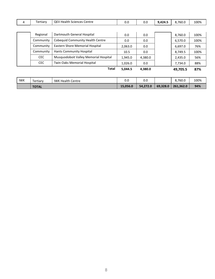|  | Fertiary | $\cap$ $\Box$<br>Sciences Centre<br>Health<br>)⊢′ | v.u | v.J | $\sim$ $\sim$ $\sim$<br>. A J A<br>------<br>$\sim$ | 8.760.0 | 100% |
|--|----------|---------------------------------------------------|-----|-----|-----------------------------------------------------|---------|------|
|--|----------|---------------------------------------------------|-----|-----|-----------------------------------------------------|---------|------|

|           | <b>Total</b>                          | 5.044.5 | 4,380.0 | 49,705.5 | 87%  |
|-----------|---------------------------------------|---------|---------|----------|------|
| CEC.      | Twin Oaks Memorial Hospital           | 1,026.0 | 0.0     | 7.734.0  | 88%  |
| CEC.      | Musquodoboit Valley Memorial Hospital | 1,945.0 | 4,380.0 | 2,435.0  | 56%  |
| Community | Hants Community Hospital              | 10.5    | 0.0     | 8,749.5  | 100% |
| Community | Eastern Shore Memorial Hospital       | 2,063.0 | 0.0     | 6,697.0  | 76%  |
| Community | Cobequid Community Health Centre      | 0.0     | 0.0     | 6,570.0  | 100% |
| Regional  | Dartmouth General Hospital            | 0.0     | 0.0     | 8,760.0  | 100% |

| <b>IWK</b> | Tertiary     | <b>IWK Health Centre</b> | v.v      | 0.0      |          | 8,760.0   | 100% |
|------------|--------------|--------------------------|----------|----------|----------|-----------|------|
|            | <b>TOTAL</b> |                          | 15,056.0 | 54,272.0 | 69,328.0 | 261,362.0 | 94%  |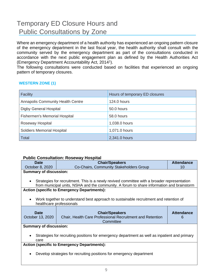## Temporary ED Closure Hours and Public Consultations by Zone

Where an emergency department of a health authority has experienced an ongoing pattern closure of the emergency department in the last fiscal year, the health authority shall consult with the community served by the emergency department as part of the consultations conducted in accordance with the next public engagement plan as defined by the Health Authorities Act (Emergency Department Accountability Act, 2014<sup>1</sup>).

The following consultations were conducted based on facilities that experienced an ongoing pattern of temporary closures.

#### **WESTERN ZONE (1)**

| Facility                                 | Hours of temporary ED closures |
|------------------------------------------|--------------------------------|
| <b>Annapolis Community Health Centre</b> | 124.0 hours                    |
| Digby General Hospital                   | 50.0 hours                     |
| <b>Fishermen's Memorial Hospital</b>     | 58.0 hours                     |
| Roseway Hospital                         | 1,038.0 hours                  |
| <b>Soldiers Memorial Hospital</b>        | 1,071.0 hours                  |
| <b>Total</b>                             | 2,341.0 hours                  |

#### **Public Consultation: Roseway Hospital**

| <b>Date</b>                                                                                              | <b>Chair/Speakers</b>                                                                         | <b>Attendance</b> |  |  |  |  |  |
|----------------------------------------------------------------------------------------------------------|-----------------------------------------------------------------------------------------------|-------------------|--|--|--|--|--|
|                                                                                                          |                                                                                               |                   |  |  |  |  |  |
| October 8, 2020                                                                                          | Co-Chairs, Community Stakeholders Group                                                       | 10                |  |  |  |  |  |
| <b>Summary of discussion:</b>                                                                            |                                                                                               |                   |  |  |  |  |  |
|                                                                                                          |                                                                                               |                   |  |  |  |  |  |
| Strategies for recruitment. This is a newly revived committee with a broader representation<br>$\bullet$ |                                                                                               |                   |  |  |  |  |  |
|                                                                                                          | from municipal units, NSHA and the community. A forum to share information and brainstorm     |                   |  |  |  |  |  |
|                                                                                                          | <b>Action (specific to Emergency Departments):</b>                                            |                   |  |  |  |  |  |
|                                                                                                          |                                                                                               |                   |  |  |  |  |  |
| $\bullet$                                                                                                | Work together to understand best approach to sustainable recruitment and retention of         |                   |  |  |  |  |  |
|                                                                                                          |                                                                                               |                   |  |  |  |  |  |
|                                                                                                          | healthcare professionals                                                                      |                   |  |  |  |  |  |
|                                                                                                          |                                                                                               |                   |  |  |  |  |  |
|                                                                                                          |                                                                                               |                   |  |  |  |  |  |
| <b>Date</b>                                                                                              | <b>Chair/Speakers</b>                                                                         | <b>Attendance</b> |  |  |  |  |  |
| October 13, 2020                                                                                         | Chair, Health Care Professional Recruitment and Retention                                     | 6                 |  |  |  |  |  |
|                                                                                                          | Committee                                                                                     |                   |  |  |  |  |  |
|                                                                                                          |                                                                                               |                   |  |  |  |  |  |
| <b>Summary of discussion:</b>                                                                            |                                                                                               |                   |  |  |  |  |  |
|                                                                                                          |                                                                                               |                   |  |  |  |  |  |
| $\bullet$                                                                                                | Strategies for recruiting positions for emergency department as well as inpatient and primary |                   |  |  |  |  |  |
| care                                                                                                     |                                                                                               |                   |  |  |  |  |  |
|                                                                                                          | <b>Action (specific to Emergency Departments):</b>                                            |                   |  |  |  |  |  |
|                                                                                                          |                                                                                               |                   |  |  |  |  |  |
| ٠                                                                                                        | Develop strategies for recruiting positions for emergency department                          |                   |  |  |  |  |  |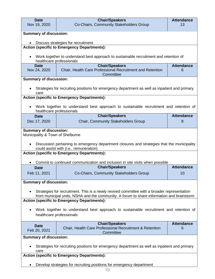| <b>Date</b><br>Nov 19, 2020                                                                                                                                                                                                                                                                                                                                         | <b>Chair/Speakers</b><br>Co-Chairs, Community Stakeholders Group                                                                                                                                                                                                            | <b>Attendance</b><br>13                                              |  |  |  |  |  |  |
|---------------------------------------------------------------------------------------------------------------------------------------------------------------------------------------------------------------------------------------------------------------------------------------------------------------------------------------------------------------------|-----------------------------------------------------------------------------------------------------------------------------------------------------------------------------------------------------------------------------------------------------------------------------|----------------------------------------------------------------------|--|--|--|--|--|--|
|                                                                                                                                                                                                                                                                                                                                                                     |                                                                                                                                                                                                                                                                             |                                                                      |  |  |  |  |  |  |
| <b>Summary of discussion:</b>                                                                                                                                                                                                                                                                                                                                       |                                                                                                                                                                                                                                                                             |                                                                      |  |  |  |  |  |  |
| Discuss strategies for recruitment                                                                                                                                                                                                                                                                                                                                  |                                                                                                                                                                                                                                                                             |                                                                      |  |  |  |  |  |  |
| <b>Action (specific to Emergency Departments):</b>                                                                                                                                                                                                                                                                                                                  |                                                                                                                                                                                                                                                                             |                                                                      |  |  |  |  |  |  |
|                                                                                                                                                                                                                                                                                                                                                                     | Work together to understand best approach to sustainable recruitment and retention of<br>healthcare professionals                                                                                                                                                           |                                                                      |  |  |  |  |  |  |
| <b>Date</b>                                                                                                                                                                                                                                                                                                                                                         | <b>Chair/Speakers</b>                                                                                                                                                                                                                                                       | <b>Attendance</b>                                                    |  |  |  |  |  |  |
| Nov 24, 2020                                                                                                                                                                                                                                                                                                                                                        | Chair, Health Care Professional Recruitment and Retention<br>Committee                                                                                                                                                                                                      | 6                                                                    |  |  |  |  |  |  |
| <b>Summary of discussion:</b>                                                                                                                                                                                                                                                                                                                                       |                                                                                                                                                                                                                                                                             |                                                                      |  |  |  |  |  |  |
| care                                                                                                                                                                                                                                                                                                                                                                | Strategies for recruiting positions for emergency department as well as inpatient and primary                                                                                                                                                                               |                                                                      |  |  |  |  |  |  |
|                                                                                                                                                                                                                                                                                                                                                                     | <b>Action (specific to Emergency Departments):</b>                                                                                                                                                                                                                          |                                                                      |  |  |  |  |  |  |
| $\bullet$                                                                                                                                                                                                                                                                                                                                                           | Work together to understand best approach to sustainable recruitment and retention of<br>healthcare professionals                                                                                                                                                           |                                                                      |  |  |  |  |  |  |
| <b>Date</b>                                                                                                                                                                                                                                                                                                                                                         | <b>Chair/Speakers</b>                                                                                                                                                                                                                                                       | <b>Attendance</b>                                                    |  |  |  |  |  |  |
| Dec 17, 2020                                                                                                                                                                                                                                                                                                                                                        | <b>Chair, Community Stakeholders Group</b>                                                                                                                                                                                                                                  | 8                                                                    |  |  |  |  |  |  |
| Municipality & Town of Shelburne                                                                                                                                                                                                                                                                                                                                    | Discussion pertaining to emergency department closures and strategies that the municipality<br>could assist with (i.e., remuneration)<br><b>Action (specific to Emergency Departments):</b><br>Commit to continued communication and inclusion in site visits when possible |                                                                      |  |  |  |  |  |  |
| <b>Date</b>                                                                                                                                                                                                                                                                                                                                                         | <b>Chair/Speakers</b>                                                                                                                                                                                                                                                       | <b>Attendance</b>                                                    |  |  |  |  |  |  |
| Feb 11, 2021                                                                                                                                                                                                                                                                                                                                                        | Co-Chairs, Community Stakeholders Group                                                                                                                                                                                                                                     | 10                                                                   |  |  |  |  |  |  |
| <b>Summary of discussion:</b>                                                                                                                                                                                                                                                                                                                                       |                                                                                                                                                                                                                                                                             |                                                                      |  |  |  |  |  |  |
| Strategies for recruitment. This is a newly revived committee with a broader representation<br>from municipal units, NSHA and the community. A forum to share information and brainstorm<br><b>Action (specific to Emergency Departments):</b><br>Work together to understand best approach to sustainable recruitment and retention of<br>healthcare professionals |                                                                                                                                                                                                                                                                             |                                                                      |  |  |  |  |  |  |
| <b>Date</b>                                                                                                                                                                                                                                                                                                                                                         | <b>Chair/Speakers</b>                                                                                                                                                                                                                                                       | <b>Attendance</b>                                                    |  |  |  |  |  |  |
| Feb 20, 2021                                                                                                                                                                                                                                                                                                                                                        | Chair, Health Care Professional Recruitment & Retention<br>Committee                                                                                                                                                                                                        | 6                                                                    |  |  |  |  |  |  |
|                                                                                                                                                                                                                                                                                                                                                                     | <b>Summary of discussion:</b>                                                                                                                                                                                                                                               |                                                                      |  |  |  |  |  |  |
| Strategies for recruiting positions for emergency department as well as inpatient and primary<br>care                                                                                                                                                                                                                                                               |                                                                                                                                                                                                                                                                             |                                                                      |  |  |  |  |  |  |
|                                                                                                                                                                                                                                                                                                                                                                     | <b>Action (specific to Emergency Departments):</b>                                                                                                                                                                                                                          |                                                                      |  |  |  |  |  |  |
|                                                                                                                                                                                                                                                                                                                                                                     |                                                                                                                                                                                                                                                                             | Develop strategies for recruiting positions for emergency department |  |  |  |  |  |  |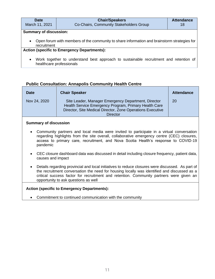| Date                          | <b>Chair/Speakers</b>                   | <b>Attendance</b> |
|-------------------------------|-----------------------------------------|-------------------|
| March 11, 2021                | Co-Chairs, Community Stakeholders Group | 18                |
| <b>Cummony of dicouccions</b> |                                         |                   |

#### **Summary of discussion:**

• Open forum with members of the community to share information and brainstorm strategies for recruitment

#### **Action (specific to Emergency Departments):**

• Work together to understand best approach to sustainable recruitment and retention of healthcare professionals

#### **Public Consultation: Annapolis Community Health Centre**

| <b>Date</b>  | <b>Chair Speaker</b>                                                                                                                                                                          | <b>Attendance</b> |
|--------------|-----------------------------------------------------------------------------------------------------------------------------------------------------------------------------------------------|-------------------|
| Nov 24, 2020 | Site Leader, Manager Emergency Department, Director<br>Health Service Emergency Program, Primary Health Care<br>Director, Site Medical Director, Zone Operations Executive<br><b>Director</b> | <b>20</b>         |

#### **Summary of discussion**

- Community partners and local media were invited to participate in a virtual conversation regarding highlights from the site overall, collaborative emergency centre (CEC) closures, access to primary care, recruitment, and Nova Scotia Health's response to COVID-19 pandemic
- CEC closure dashboard data was discussed in detail including closure frequency, patient data, causes and impact
- Details regarding provincial and local initiatives to reduce closures were discussed. As part of the recruitment conversation the need for housing locally was identified and discussed as a critical success factor for recruitment and retention. Community partners were given an opportunity to ask questions as well

#### **Action (specific to Emergency Departments):**

• Commitment to continued communication with the community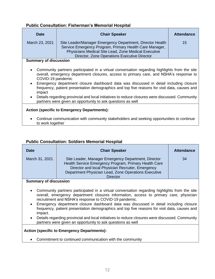#### **Public Consultation: Fisherman's Memorial Hospital**

| <b>Date</b>    | <b>Chair Speaker</b>                                                                                                                                                                                                                | <b>Attendance</b> |
|----------------|-------------------------------------------------------------------------------------------------------------------------------------------------------------------------------------------------------------------------------------|-------------------|
| March 23, 2021 | Site Leader/Manager Emergency Department, Director Health<br>Service Emergency Program, Primary Health Care Manager,<br><b>Physicians Medical Site Lead, Zone Medical Executive</b><br>Director, Zone Operations Executive Director | 15                |

#### **Summary of discussion**

- Community partners participated in a virtual conversation regarding highlights from the site overall, emergency department closures, access to primary care, and NSHA's response to COVID-19 pandemic
- Emergency department closure dashboard data was discussed in detail including closure frequency, patient presentation demographics and top five reasons for visit data, causes and impact
- Details regarding provincial and local initiatives to reduce closures were discussed. Community partners were given an opportunity to ask questions as well

#### **Action (specific to Emergency Departments):**

• Continue communication with community stakeholders and seeking opportunities to continue to work together

#### **Public Consultation: Soldiers Memorial Hospital**

| <b>Date</b>           | <b>Chair Speaker</b>                                                                                                                                                                                                                         | <b>Attendance</b> |
|-----------------------|----------------------------------------------------------------------------------------------------------------------------------------------------------------------------------------------------------------------------------------------|-------------------|
| March 31, 2021        | Site Leader, Manager Emergency Department, Director<br>Health Service Emergency Program, Primary Health Care<br>Director and local Physician Recruiter, Emergency<br>Department Physician Lead, Zone Operations Executive<br><b>Director</b> | 34                |
| Summary of discussion |                                                                                                                                                                                                                                              |                   |

#### **Summary of discussion**

- Community partners participated in a virtual conversation regarding highlights from the site overall, emergency department closures information, access to primary care, physician recruitment and NSHA's response to COVID-19 pandemic.
- Emergency department closure dashboard data was discussed in detail including closure frequency, patient presentation demographics and top five reasons for visit data, causes and impact.
- Details regarding provincial and local initiatives to reduce closures were discussed. Community partners were given an opportunity to ask questions as well

#### **Action (specific to Emergency Departments):**

• Commitment to continued communication with the community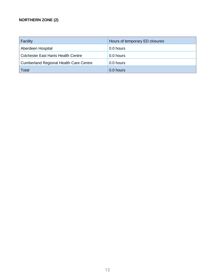#### **NORTHERN ZONE (2)**

| Facility                                      | Hours of temporary ED closures |
|-----------------------------------------------|--------------------------------|
| Aberdeen Hospital                             | 0.0 hours                      |
| Colchester East Hants Health Centre           | 0.0 hours                      |
| <b>Cumberland Regional Health Care Centre</b> | 0.0 hours                      |
| <b>Total</b>                                  | 0.0 hours                      |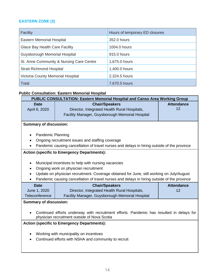#### **EASTERN ZONE (3)**

| <b>Facility</b>                          | Hours of temporary ED closures |
|------------------------------------------|--------------------------------|
| <b>Eastern Memorial Hospital</b>         | 352.0 hours                    |
| Glace Bay Health Care Facility           | 1004.0 hours                   |
| Guysborough Memorial Hospital            | 915.0 hours                    |
| St. Anne Community & Nursing Care Centre | 1,675.0 hours                  |
| <b>Strait Richmond Hospital</b>          | 1,400.0 hours                  |
| Victoria County Memorial Hospital        | 2,324.5 hours                  |
| <b>Total</b>                             | 7,670.5 hours                  |

#### **Public Consultation: Eastern Memorial Hospital**

| PUBLIC CONSULTATION: Eastern Memorial Hospital and Canso Area Working Group                                                              |                                                                                                  |                   |
|------------------------------------------------------------------------------------------------------------------------------------------|--------------------------------------------------------------------------------------------------|-------------------|
| <b>Date</b><br>April 6, 2020                                                                                                             | <b>Chair/Speakers</b><br><b>Attendance</b><br>12<br>Director, Integrated Health Rural Hospitals, |                   |
|                                                                                                                                          | Facility Manager, Guysborough Memorial Hospital                                                  |                   |
| <b>Summary of discussion:</b>                                                                                                            |                                                                                                  |                   |
| <b>Pandemic Planning</b>                                                                                                                 |                                                                                                  |                   |
|                                                                                                                                          | Ongoing recruitment issues and staffing coverage                                                 |                   |
|                                                                                                                                          | Pandemic causing cancellation of travel nurses and delays in hiring outside of the province      |                   |
|                                                                                                                                          | <b>Action (specific to Emergency Departments):</b>                                               |                   |
| $\bullet$                                                                                                                                | Municipal incentives to help with nursing vacancies                                              |                   |
| $\bullet$                                                                                                                                | Ongoing work on physician recruitment                                                            |                   |
| $\bullet$                                                                                                                                | Update on physician recruitment. Coverage obtained for June, still working on July/August        |                   |
|                                                                                                                                          | Pandemic causing cancellation of travel nurses and delays in hiring outside of the province      |                   |
| <b>Date</b>                                                                                                                              | <b>Chair/Speakers</b>                                                                            | <b>Attendance</b> |
| June 1, 2020                                                                                                                             | Director, Integrated Health Rural Hospitals,                                                     | 12                |
| Teleconference                                                                                                                           | Facility Manager, Guysborough Memorial Hospital                                                  |                   |
| <b>Summary of discussion:</b>                                                                                                            |                                                                                                  |                   |
| Continued efforts underway with recruitment efforts. Pandemic has resulted in delays for<br>physician recruitment outside of Nova Scotia |                                                                                                  |                   |
| <b>Action (specific to Emergency Departments):</b>                                                                                       |                                                                                                  |                   |
|                                                                                                                                          | Working with municipality on incentives                                                          |                   |
| Continued efforts with NSHA and community to recruit                                                                                     |                                                                                                  |                   |
|                                                                                                                                          |                                                                                                  |                   |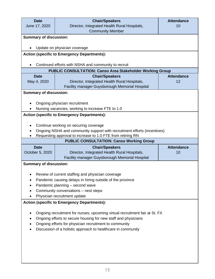| <b>Date</b>                                                    | <b>Chair/Speakers</b>                                                       | <b>Attendance</b> |
|----------------------------------------------------------------|-----------------------------------------------------------------------------|-------------------|
| June 17, 2020                                                  | Director, Integrated Health Rural Hospitals,                                | 10                |
|                                                                | <b>Community Member</b>                                                     |                   |
| <b>Summary of discussion:</b>                                  |                                                                             |                   |
|                                                                |                                                                             |                   |
| $\bullet$                                                      | Update on physician coverage                                                |                   |
|                                                                | <b>Action (specific to Emergency Departments):</b>                          |                   |
|                                                                |                                                                             |                   |
| $\bullet$                                                      | Continued efforts with NSHA and community to recruit                        |                   |
|                                                                | <b>PUBLIC CONSULTATION: Canso Area Stakeholder Working Group</b>            |                   |
| <b>Date</b>                                                    | <b>Chair/Speakers</b>                                                       | <b>Attendance</b> |
| May 4, 2020                                                    | Director, Integrated Health Rural Hospitals,                                | 12                |
|                                                                | Facility manager Guysborough Memorial Hospital                              |                   |
| <b>Summary of discussion:</b>                                  |                                                                             |                   |
|                                                                | Ongoing physician recruitment                                               |                   |
|                                                                | Nursing vacancies, working to increase FTE to 1.0                           |                   |
|                                                                |                                                                             |                   |
|                                                                | <b>Action (specific to Emergency Departments):</b>                          |                   |
|                                                                | Continue working on securing coverage                                       |                   |
|                                                                | Ongoing NSHA and community support with recruitment efforts (incentives)    |                   |
|                                                                | Requesting approval to increase to 1.0 FTE from retiring RN                 |                   |
|                                                                | <b>PUBLIC CONSULTATION: Canso Working Group</b>                             |                   |
| <b>Date</b>                                                    | <b>Chair/Speakers</b>                                                       | <b>Attendance</b> |
| October 5, 2020                                                | Director, Integrated Health Rural Hospitals,                                | 10                |
|                                                                | Facility manager Guysborough Memorial Hospital                              |                   |
| <b>Summary of discussion:</b>                                  |                                                                             |                   |
|                                                                |                                                                             |                   |
|                                                                | Review of current staffing and physician coverage                           |                   |
|                                                                | Pandemic causing delays in hiring outside of the province                   |                   |
|                                                                | Pandemic planning - second wave                                             |                   |
|                                                                | Community conversations - next steps                                        |                   |
| Physician recruitment update                                   |                                                                             |                   |
|                                                                | <b>Action (specific to Emergency Departments):</b>                          |                   |
|                                                                |                                                                             |                   |
|                                                                | Ongoing recruitment for nurses; upcoming virtual recruitment fair at St. FX |                   |
| Ongoing efforts to secure housing for new staff and physicians |                                                                             |                   |
| Ongoing efforts for physician recruitment to community         |                                                                             |                   |
|                                                                | Discussion of a holistic approach to healthcare in community                |                   |
|                                                                |                                                                             |                   |
|                                                                |                                                                             |                   |
|                                                                |                                                                             |                   |
|                                                                |                                                                             |                   |
|                                                                |                                                                             |                   |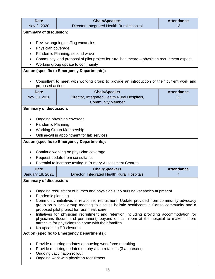| <b>Date</b>                                                                               | <b>Chair/Speakers</b>                                                                                                                                                               | <b>Attendance</b> |  |
|-------------------------------------------------------------------------------------------|-------------------------------------------------------------------------------------------------------------------------------------------------------------------------------------|-------------------|--|
| Nov 2, 2020                                                                               | Director, Integrated Health Rural Hospital                                                                                                                                          | 13                |  |
| <b>Summary of discussion:</b>                                                             |                                                                                                                                                                                     |                   |  |
|                                                                                           |                                                                                                                                                                                     |                   |  |
|                                                                                           | Review ongoing staffing vacancies                                                                                                                                                   |                   |  |
| Physician coverage<br>$\bullet$                                                           |                                                                                                                                                                                     |                   |  |
|                                                                                           | Pandemic Planning, second wave                                                                                                                                                      |                   |  |
|                                                                                           | Community lead proposal of pilot project for rural healthcare – physician recruitment aspect                                                                                        |                   |  |
|                                                                                           | Working group update to community                                                                                                                                                   |                   |  |
|                                                                                           | <b>Action (specific to Emergency Departments):</b>                                                                                                                                  |                   |  |
| proposed actions                                                                          | Consultant to meet with working group to provide an introduction of their current work and                                                                                          |                   |  |
| <b>Date</b>                                                                               | <b>Chair/Speaker</b>                                                                                                                                                                | <b>Attendance</b> |  |
| Nov 30, 2020                                                                              | Director, Integrated Health Rural Hospitals,                                                                                                                                        | 12                |  |
|                                                                                           | <b>Community Member</b>                                                                                                                                                             |                   |  |
| <b>Summary of discussion:</b>                                                             |                                                                                                                                                                                     |                   |  |
|                                                                                           |                                                                                                                                                                                     |                   |  |
|                                                                                           | Ongoing physician coverage                                                                                                                                                          |                   |  |
| Pandemic Planning                                                                         |                                                                                                                                                                                     |                   |  |
|                                                                                           | <b>Working Group Membership</b>                                                                                                                                                     |                   |  |
|                                                                                           | Online/call in appointment for lab services                                                                                                                                         |                   |  |
|                                                                                           | <b>Action (specific to Emergency Departments):</b>                                                                                                                                  |                   |  |
|                                                                                           |                                                                                                                                                                                     |                   |  |
|                                                                                           | Continue working on physician coverage                                                                                                                                              |                   |  |
|                                                                                           | Request update from consultants                                                                                                                                                     |                   |  |
|                                                                                           | Potential to increase testing in Primary Assessment Centres                                                                                                                         |                   |  |
| <b>Date</b>                                                                               | <b>Chair/Speakers</b>                                                                                                                                                               | <b>Attendance</b> |  |
| <b>January 18, 2021</b>                                                                   | Director, Integrated Health Rural Hospitals                                                                                                                                         | 7                 |  |
| <b>Summary of discussion:</b>                                                             |                                                                                                                                                                                     |                   |  |
|                                                                                           |                                                                                                                                                                                     |                   |  |
|                                                                                           | Ongoing recruitment of nurses and physician's: no nursing vacancies at present                                                                                                      |                   |  |
| Pandemic planning                                                                         |                                                                                                                                                                                     |                   |  |
|                                                                                           | Community initiatives in relation to recruitment: Update provided from community advocacy<br>group on a local group meeting to discuss holistic healthcare in Canso community and a |                   |  |
|                                                                                           | proposed pilot project for rural healthcare                                                                                                                                         |                   |  |
| Initiatives for physician recruitment and retention including providing accommodation for |                                                                                                                                                                                     |                   |  |
| physicians (locum and permanent) beyond on call room at the hospital to make it more      |                                                                                                                                                                                     |                   |  |
| attractive for physicians to come with their families<br>No upcoming ER closures          |                                                                                                                                                                                     |                   |  |
|                                                                                           | <b>Action (specific to Emergency Departments):</b>                                                                                                                                  |                   |  |
|                                                                                           |                                                                                                                                                                                     |                   |  |
|                                                                                           | Provide recurring updates on nursing work force recruiting                                                                                                                          |                   |  |
|                                                                                           | Provide recurring updates on physician rotations (3 at present)                                                                                                                     |                   |  |
| Ongoing vaccination rollout                                                               |                                                                                                                                                                                     |                   |  |
|                                                                                           | Ongoing work with physician recruitment                                                                                                                                             |                   |  |
|                                                                                           |                                                                                                                                                                                     |                   |  |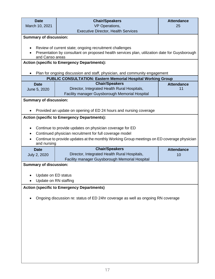| <b>Date</b><br>March 10, 2021                                                    | <b>Chair/Speakers</b><br>VP Operations,                                                                                                                                                                           | <b>Attendance</b><br>25 |
|----------------------------------------------------------------------------------|-------------------------------------------------------------------------------------------------------------------------------------------------------------------------------------------------------------------|-------------------------|
|                                                                                  | <b>Executive Director, Health Services</b>                                                                                                                                                                        |                         |
| <b>Summary of discussion:</b>                                                    |                                                                                                                                                                                                                   |                         |
| and Canso areas                                                                  | Review of current state; ongoing recruitment challenges<br>Presentation by consultant on proposed health services plan, utilization date for Guysborough                                                          |                         |
|                                                                                  | <b>Action (specific to Emergency Departments):</b>                                                                                                                                                                |                         |
|                                                                                  | Plan for ongoing discussion and staff, physician, and community engagement                                                                                                                                        |                         |
| <b>Date</b>                                                                      | <b>PUBLIC CONSULTATION: Eastern Memorial Hospital Working Group</b><br><b>Chair/Speakers</b>                                                                                                                      | <b>Attendance</b>       |
| June 5, 2020                                                                     | Director, Integrated Health Rural Hospitals,<br>Facility manager Guysborough Memorial Hospital                                                                                                                    | 11                      |
| <b>Summary of discussion:</b>                                                    |                                                                                                                                                                                                                   |                         |
|                                                                                  | Provided an update on opening of ED 24 hours and nursing coverage                                                                                                                                                 |                         |
|                                                                                  | <b>Action (specific to Emergency Departments):</b>                                                                                                                                                                |                         |
| ٠<br>and nursing                                                                 | Continue to provide updates on physician coverage for ED<br>Continued physician recruitment for full coverage model<br>Continue to provide updates at the monthly Working Group meetings on ED coverage physician |                         |
| <b>Date</b>                                                                      | <b>Chair/Speakers</b>                                                                                                                                                                                             | <b>Attendance</b>       |
| July 2, 2020                                                                     | Director, Integrated Health Rural Hospitals,<br>Facility manager Guysborough Memorial Hospital                                                                                                                    | 10                      |
| <b>Summary of discussion:</b>                                                    |                                                                                                                                                                                                                   |                         |
|                                                                                  |                                                                                                                                                                                                                   |                         |
| Update on ED status<br>Update on RN staffing                                     |                                                                                                                                                                                                                   |                         |
| <b>Action (specific to Emergency Departments)</b>                                |                                                                                                                                                                                                                   |                         |
| Ongoing discussion re: status of ED 24hr coverage as well as ongoing RN coverage |                                                                                                                                                                                                                   |                         |
|                                                                                  |                                                                                                                                                                                                                   |                         |
|                                                                                  |                                                                                                                                                                                                                   |                         |
|                                                                                  |                                                                                                                                                                                                                   |                         |
|                                                                                  |                                                                                                                                                                                                                   |                         |
|                                                                                  |                                                                                                                                                                                                                   |                         |
|                                                                                  |                                                                                                                                                                                                                   |                         |
|                                                                                  |                                                                                                                                                                                                                   |                         |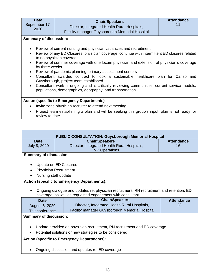| <b>Date</b>   |  |
|---------------|--|
| September 17, |  |
| 2020          |  |
|               |  |

#### **Chair/Speakers** Director, Integrated Health Rural Hospitals, Facility manager Guysborough Memorial Hospital

#### **Summary of discussion:**

- Review of current nursing and physician vacancies and recruitment
- Review of any ED Closures: physician coverage: continue with intermittent ED closures related to no physician coverage
- Review of summer coverage with one locum physician and extension of physician's coverage by three weeks
- Review of pandemic planning; primary assessment centers
- Consultant awarded contract to look a sustainable healthcare plan for Canso and Guysborough, project team established
- Consultant work is ongoing and is critically reviewing communities, current service models, populations, demographics, geography, and transportation

#### **Action (specific to Emergency Departments)**

- Invite zone physician recruiter to attend next meeting.
- Project team establishing a plan and will be seeking this group's input; plan is not ready for review to date

| <b>PUBLIC CONSULTATION: Guysborough Memorial Hospital</b>                |                                                                                          |                   |
|--------------------------------------------------------------------------|------------------------------------------------------------------------------------------|-------------------|
| <b>Date</b>                                                              | <b>Chair/Speakers</b>                                                                    | <b>Attendance</b> |
| July 8, 2020                                                             | Director, Integrated Health Rural Hospitals,                                             | 16                |
|                                                                          | <b>VP Operations</b>                                                                     |                   |
| <b>Summary of discussion:</b>                                            |                                                                                          |                   |
|                                                                          |                                                                                          |                   |
| Update on ED Closures<br>$\bullet$                                       |                                                                                          |                   |
| <b>Physician Recruitment</b>                                             |                                                                                          |                   |
| Nursing staff update                                                     |                                                                                          |                   |
|                                                                          | <b>Action (specific to Emergency Departments):</b>                                       |                   |
|                                                                          |                                                                                          |                   |
| $\bullet$                                                                | Ongoing dialogue and updates re: physician recruitment, RN recruitment and retention, ED |                   |
|                                                                          | coverage, as well as requested engagement with consultant                                |                   |
| <b>Date</b>                                                              | <b>Chair/Speakers</b>                                                                    | <b>Attendance</b> |
| August 6, 2020                                                           | Director, Integrated Health Rural Hospitals,                                             | 23                |
| Teleconference                                                           | Facility manager Guysborough Memorial Hospital                                           |                   |
| <b>Summary of discussion:</b>                                            |                                                                                          |                   |
|                                                                          |                                                                                          |                   |
| Update provided on physician recruitment, RN recruitment and ED coverage |                                                                                          |                   |
| Potential solutions or new strategies to be considered                   |                                                                                          |                   |
|                                                                          | <b>Action (specific to Emergency Departments):</b>                                       |                   |
|                                                                          |                                                                                          |                   |
| Ongoing discussion and updates re: ED coverage                           |                                                                                          |                   |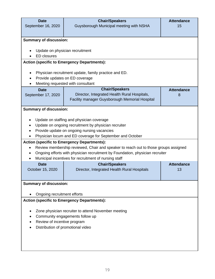| <b>Date</b><br>September 16, 2020                   | <b>Chair/Speakers</b><br>Guysborough Municipal meeting with NSHA                                                                          | <b>Attendance</b><br>15 |  |
|-----------------------------------------------------|-------------------------------------------------------------------------------------------------------------------------------------------|-------------------------|--|
|                                                     |                                                                                                                                           |                         |  |
| <b>Summary of discussion:</b>                       |                                                                                                                                           |                         |  |
| <b>ED</b> closures                                  | Update on physician recruitment                                                                                                           |                         |  |
|                                                     | <b>Action (specific to Emergency Departments):</b>                                                                                        |                         |  |
|                                                     |                                                                                                                                           |                         |  |
|                                                     | Physician recruitment update, family practice and ED.<br>Provide updates on ED coverage                                                   |                         |  |
|                                                     | Meeting requested with consultant                                                                                                         |                         |  |
| <b>Date</b>                                         | <b>Chair/Speakers</b>                                                                                                                     | <b>Attendance</b>       |  |
| September 17, 2020                                  | Director, Integrated Health Rural Hospitals,                                                                                              | 8                       |  |
|                                                     | Facility manager Guysborough Memorial Hospital                                                                                            |                         |  |
| <b>Summary of discussion:</b>                       |                                                                                                                                           |                         |  |
|                                                     | Update on staffing and physician coverage                                                                                                 |                         |  |
|                                                     | Update on ongoing recruitment by physician recruiter                                                                                      |                         |  |
|                                                     | Provide update on ongoing nursing vacancies                                                                                               |                         |  |
|                                                     | Physician locum and ED coverage for September and October                                                                                 |                         |  |
|                                                     | <b>Action (specific to Emergency Departments):</b><br>Review membership reviewed, Chair and speaker to reach out to those groups assigned |                         |  |
|                                                     | Ongoing efforts with physician recruitment by Foundation, physician recruiter                                                             |                         |  |
|                                                     | Municipal incentives for recruitment of nursing staff                                                                                     |                         |  |
| <b>Date</b>                                         | <b>Chair/Speakers</b>                                                                                                                     | <b>Attendance</b>       |  |
| October 15, 2020                                    | Director, Integrated Health Rural Hospitals                                                                                               | 13                      |  |
|                                                     |                                                                                                                                           |                         |  |
| <b>Summary of discussion:</b>                       |                                                                                                                                           |                         |  |
|                                                     | Ongoing recruitment efforts                                                                                                               |                         |  |
|                                                     | <b>Action (specific to Emergency Departments):</b>                                                                                        |                         |  |
|                                                     |                                                                                                                                           |                         |  |
| Zone physician recruiter to attend November meeting |                                                                                                                                           |                         |  |
| Community engagements follow up                     |                                                                                                                                           |                         |  |
| Review of incentive program                         |                                                                                                                                           |                         |  |
|                                                     | Distribution of promotional video                                                                                                         |                         |  |
|                                                     |                                                                                                                                           |                         |  |
|                                                     |                                                                                                                                           |                         |  |
|                                                     |                                                                                                                                           |                         |  |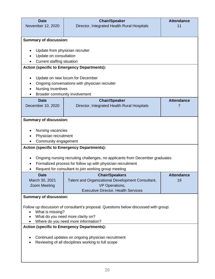| <b>Date</b><br>November 12, 2020                          | <b>Chair/Speaker</b><br>Director, Integrated Health Rural Hospitals                  | <b>Attendance</b><br>11 |
|-----------------------------------------------------------|--------------------------------------------------------------------------------------|-------------------------|
|                                                           |                                                                                      |                         |
| <b>Summary of discussion:</b>                             |                                                                                      |                         |
|                                                           |                                                                                      |                         |
| Update from physician recruiter<br>Update on consultation |                                                                                      |                         |
| <b>Current staffing situation</b>                         |                                                                                      |                         |
|                                                           | <b>Action (specific to Emergency Departments):</b>                                   |                         |
|                                                           | Update on new locum for December                                                     |                         |
| $\bullet$                                                 | Ongoing conversations with physician recruiter                                       |                         |
| Nursing incentives                                        |                                                                                      |                         |
|                                                           | Broader community involvement                                                        |                         |
| <b>Date</b>                                               | <b>Chair/Speaker</b>                                                                 | <b>Attendance</b><br>7  |
| December 10, 2020                                         | Director, Integrated Health Rural Hospitals                                          |                         |
|                                                           |                                                                                      |                         |
| <b>Summary of discussion:</b>                             |                                                                                      |                         |
| Nursing vacancies                                         |                                                                                      |                         |
| Physician recruitment                                     |                                                                                      |                         |
| Community engagement                                      |                                                                                      |                         |
|                                                           | <b>Action (specific to Emergency Departments):</b>                                   |                         |
|                                                           | Ongoing nursing recruiting challenges, no applicants from December graduates         |                         |
|                                                           | Formalized process for follow up with physician recruitment                          |                         |
|                                                           | Request for consultant to join working group meeting                                 |                         |
| <b>Date</b>                                               | <b>Chair/Speakers</b>                                                                | <b>Attendance</b>       |
| March 30, 2021                                            | Talent and Organizational Development Consultant,                                    | 19                      |
| <b>Zoom Meeting</b>                                       | VP Operations,<br><b>Executive Director, Health Services</b>                         |                         |
| <b>Summary of discussion:</b>                             |                                                                                      |                         |
|                                                           |                                                                                      |                         |
| What is missing?                                          | Follow up discussion of consultant's proposal. Questions below discussed with group: |                         |
| What do you need more clarity on?                         |                                                                                      |                         |
| Where do you need more information?                       |                                                                                      |                         |
|                                                           | <b>Action (specific to Emergency Departments):</b>                                   |                         |
| Continued updates on ongoing physician recruitment        |                                                                                      |                         |
| Reviewing of all disciplines working to full scope        |                                                                                      |                         |
|                                                           |                                                                                      |                         |
|                                                           |                                                                                      |                         |
|                                                           |                                                                                      |                         |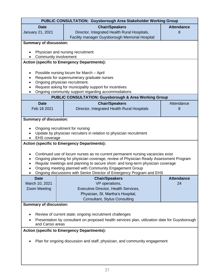| PUBLIC CONSULTATION: Guysborough Area Stakeholder Working Group                               |                                                                                       |                   |  |
|-----------------------------------------------------------------------------------------------|---------------------------------------------------------------------------------------|-------------------|--|
| <b>Date</b>                                                                                   | <b>Chair/Speakers</b>                                                                 | <b>Attendance</b> |  |
| <b>January 21, 2021</b>                                                                       | Director, Integrated Health Rural Hospitals,                                          |                   |  |
|                                                                                               | Facility manager Guysborough Memorial Hospital                                        |                   |  |
| <b>Summary of discussion:</b>                                                                 |                                                                                       |                   |  |
| Community involvement                                                                         | Physician and nursing recruitment                                                     |                   |  |
|                                                                                               | <b>Action (specific to Emergency Departments):</b>                                    |                   |  |
| ٠                                                                                             | Possible nursing locum for March - April                                              |                   |  |
| $\bullet$                                                                                     | Requests for supernumerary graduate nurses                                            |                   |  |
|                                                                                               | Ongoing physician recruitment.                                                        |                   |  |
|                                                                                               | Request asking for municipality support for incentives                                |                   |  |
|                                                                                               | Ongoing community support regarding accommodations                                    |                   |  |
|                                                                                               | <b>PUBLIC CONSULTATION: Guysborough &amp; Area Working Group</b>                      |                   |  |
| <b>Date</b>                                                                                   | <b>Chair/Speakers</b>                                                                 | Attendance        |  |
| Feb 18 2021                                                                                   | Director, Integrated Health Rural Hospitals                                           | 8                 |  |
|                                                                                               |                                                                                       |                   |  |
| <b>Summary of discussion:</b>                                                                 |                                                                                       |                   |  |
|                                                                                               | Ongoing recruitment for nursing                                                       |                   |  |
|                                                                                               | Update by physician recruiters in relation to physician recruitment                   |                   |  |
| <b>EHS</b> coverage                                                                           |                                                                                       |                   |  |
|                                                                                               | <b>Action (specific to Emergency Departments):</b>                                    |                   |  |
|                                                                                               | Continued use of locum nurses as no current permanent nursing vacancies exist         |                   |  |
| $\bullet$                                                                                     | Ongoing planning for physician coverage, review of Physician Ready Assessment Program |                   |  |
|                                                                                               | Regular meetings and planning to secure short- and long-term physician coverage       |                   |  |
|                                                                                               | Ongoing meeting planned with Community Engagement Group                               |                   |  |
| Ongoing discussions with Senior Director of Emergency Program and EHS                         |                                                                                       |                   |  |
| <b>Date</b>                                                                                   | <b>Chair/Speakers</b>                                                                 | <b>Attendance</b> |  |
| March 10, 2021                                                                                | VP operations,                                                                        | 24                |  |
| <b>Zoom Meeting</b>                                                                           | Executive Director, Health Services,                                                  |                   |  |
|                                                                                               | Physician, St. Martha's Hospital,                                                     |                   |  |
|                                                                                               | <b>Consultant, Stylus Consulting</b>                                                  |                   |  |
| <b>Summary of discussion:</b>                                                                 |                                                                                       |                   |  |
| Review of current state; ongoing recruitment challenges                                       |                                                                                       |                   |  |
| Presentation by consultant on proposed health services plan, utilization date for Guysborough |                                                                                       |                   |  |
| and Canso areas                                                                               |                                                                                       |                   |  |
| <b>Action (specific to Emergency Departments):</b>                                            |                                                                                       |                   |  |
| Plan for ongoing discussion and staff, physician, and community engagement                    |                                                                                       |                   |  |
|                                                                                               |                                                                                       |                   |  |
|                                                                                               |                                                                                       |                   |  |
|                                                                                               |                                                                                       |                   |  |
|                                                                                               |                                                                                       |                   |  |

 $\mathsf{l}$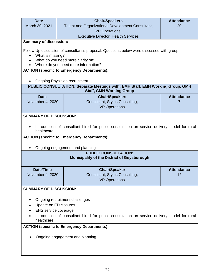| <b>Date</b>                                                                                                |                       | <b>Chair/Speakers</b>                                                                        | <b>Attendance</b> |
|------------------------------------------------------------------------------------------------------------|-----------------------|----------------------------------------------------------------------------------------------|-------------------|
| March 30, 2021                                                                                             |                       | Talent and Organizational Development Consultant,                                            | 20                |
|                                                                                                            | VP Operations,        |                                                                                              |                   |
| <b>Summary of discussion:</b>                                                                              |                       | <b>Executive Director, Health Services</b>                                                   |                   |
|                                                                                                            |                       |                                                                                              |                   |
|                                                                                                            |                       | Follow Up discussion of consultant's proposal. Questions below were discussed with group:    |                   |
| What is missing?                                                                                           |                       |                                                                                              |                   |
| $\bullet$                                                                                                  |                       | What do you need more clarity on?<br>Where do you need more information?                     |                   |
|                                                                                                            |                       | <b>ACTION (specific to Emergency Departments):</b>                                           |                   |
| <b>Ongoing Physician recruitment</b>                                                                       |                       |                                                                                              |                   |
|                                                                                                            |                       | PUBLIC CONSULTATION: Separate Meetings with: EMH Staff, EMH Working Group, GMH               |                   |
|                                                                                                            |                       | <b>Staff, GMH Working Group</b>                                                              |                   |
| <b>Date</b>                                                                                                |                       | <b>Chair/Speakers</b>                                                                        | <b>Attendance</b> |
| November 4, 2020                                                                                           |                       | Consultant, Stylus Consulting,                                                               | 7                 |
|                                                                                                            |                       | <b>VP Operations</b>                                                                         |                   |
| <b>SUMMARY OF DISCUSSION:</b>                                                                              |                       |                                                                                              |                   |
|                                                                                                            |                       |                                                                                              |                   |
|                                                                                                            |                       | Introduction of consultant hired for public consultation on service delivery model for rural |                   |
| healthcare                                                                                                 |                       |                                                                                              |                   |
|                                                                                                            |                       | <b>ACTION (specific to Emergency Departments):</b>                                           |                   |
|                                                                                                            |                       | Ongoing engagement and planning                                                              |                   |
|                                                                                                            |                       | <b>PUBLIC CONSULTATION:</b>                                                                  |                   |
| Municipality of the District of Guysborough                                                                |                       |                                                                                              |                   |
|                                                                                                            |                       |                                                                                              |                   |
| <b>Date/Time</b>                                                                                           |                       | <b>Chair/Speaker</b>                                                                         | <b>Attendance</b> |
| November 4, 2020                                                                                           |                       | Consultant, Stylus Consulting,                                                               | 12                |
|                                                                                                            |                       | <b>VP Operations</b>                                                                         |                   |
| <b>SUMMARY OF DISCUSSION:</b>                                                                              |                       |                                                                                              |                   |
|                                                                                                            |                       |                                                                                              |                   |
|                                                                                                            |                       | Ongoing recruitment challenges                                                               |                   |
|                                                                                                            | Update on ED closures |                                                                                              |                   |
| EHS service coverage                                                                                       |                       |                                                                                              |                   |
| Introduction of consultant hired for public consultation on service delivery model for rural<br>healthcare |                       |                                                                                              |                   |
| <b>ACTION (specific to Emergency Departments):</b>                                                         |                       |                                                                                              |                   |
|                                                                                                            |                       |                                                                                              |                   |
|                                                                                                            |                       | Ongoing engagement and planning                                                              |                   |
|                                                                                                            |                       |                                                                                              |                   |
|                                                                                                            |                       |                                                                                              |                   |
|                                                                                                            |                       |                                                                                              |                   |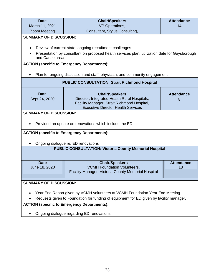| <b>Date</b>                                                                             | <b>Chair/Speakers</b>                                                                                                                                             | <b>Attendance</b>       |  |
|-----------------------------------------------------------------------------------------|-------------------------------------------------------------------------------------------------------------------------------------------------------------------|-------------------------|--|
| March 11, 2021                                                                          | <b>VP</b> Operations,                                                                                                                                             | 14                      |  |
| <b>Zoom Meeting</b>                                                                     | Consultant, Stylus Consulting,                                                                                                                                    |                         |  |
| <b>SUMMARY OF DISCUSSION:</b>                                                           |                                                                                                                                                                   |                         |  |
| $\bullet$                                                                               | Review of current state; ongoing recruitment challenges                                                                                                           |                         |  |
| and Canso areas                                                                         | Presentation by consultant on proposed health services plan, utilization date for Guysborough                                                                     |                         |  |
|                                                                                         | <b>ACTION (specific to Emergency Departments):</b>                                                                                                                |                         |  |
|                                                                                         | Plan for ongoing discussion and staff, physician, and community engagement                                                                                        |                         |  |
|                                                                                         | <b>PUBLIC CONSULTATION: Strait Richmond Hospital</b>                                                                                                              |                         |  |
| <b>Date</b><br>Sept 24, 2020                                                            | <b>Chair/Speakers</b><br>Director, Integrated Health Rural Hospitals,<br>Facility Manager, Strait Richmond Hospital,<br><b>Executive Director Health Services</b> | <b>Attendance</b><br>8  |  |
| <b>SUMMARY OF DISCUSSION:</b><br>Provided an update on renovations which include the ED |                                                                                                                                                                   |                         |  |
| <b>ACTION (specific to Emergency Departments):</b>                                      |                                                                                                                                                                   |                         |  |
| Ongoing dialogue re: ED renovations                                                     |                                                                                                                                                                   |                         |  |
|                                                                                         | <b>PUBLIC CONSULTATION: Victoria County Memorial Hospital</b>                                                                                                     |                         |  |
| <b>Date</b><br>June 18, 2020                                                            | <b>Chair/Speakers</b><br><b>VCMH Foundation Volunteers,</b>                                                                                                       | <b>Attendance</b><br>18 |  |
|                                                                                         | Facility Manager, Victoria County Memorial Hospital                                                                                                               |                         |  |
| <b>SUMMARY OF DISCUSSION:</b>                                                           |                                                                                                                                                                   |                         |  |
|                                                                                         | Year End Report given by VCMH volunteers at VCMH Foundation Year End Meeting                                                                                      |                         |  |
| Requests given to Foundation for funding of equipment for ED given by facility manager. |                                                                                                                                                                   |                         |  |
| <b>ACTION (specific to Emergency Departments):</b>                                      |                                                                                                                                                                   |                         |  |
| Ongoing dialogue regarding ED renovations                                               |                                                                                                                                                                   |                         |  |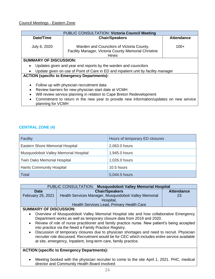| PUBLIC CONSULTATION: Victoria Council Meeting                                                               |                                                                                   |                   |  |
|-------------------------------------------------------------------------------------------------------------|-----------------------------------------------------------------------------------|-------------------|--|
| Date/Time                                                                                                   | <b>Chair/Speakers</b>                                                             | <b>Attendance</b> |  |
|                                                                                                             |                                                                                   |                   |  |
| July 6, 2020                                                                                                | Warden and Councilors of Victoria County,                                         | $100+$            |  |
|                                                                                                             | Facility Manager, Victoria County Memorial Christine                              |                   |  |
|                                                                                                             | <b>Hines</b>                                                                      |                   |  |
| <b>SUMMARY OF DISCUSSION:</b>                                                                               |                                                                                   |                   |  |
| Updates given and year end reports by the warden and councilors                                             |                                                                                   |                   |  |
|                                                                                                             | Update given on use of Point of Care in ED and inpatient unit by facility manager |                   |  |
| <b>ACTION (specific to Emergency Departments):</b>                                                          |                                                                                   |                   |  |
|                                                                                                             |                                                                                   |                   |  |
| Follow up with physician recruitment data<br>٠                                                              |                                                                                   |                   |  |
| Review barriers for new physician start date at VCMH                                                        |                                                                                   |                   |  |
| Will review service planning in relation to Cape Breton Redevelopment                                       |                                                                                   |                   |  |
| Commitment to return in the new year to provide new information/updates on new service<br>planning for VCMH |                                                                                   |                   |  |
|                                                                                                             |                                                                                   |                   |  |

#### **CENTRAL ZONE (4)**

| Facility                              | Hours of temporary ED closures |
|---------------------------------------|--------------------------------|
| Eastern Shore Memorial Hospital       | 2,063.0 hours                  |
| Musquodoboit Valley Memorial Hospital | 1,945.0 hours                  |
| Twin Oaks Memorial Hospital           | 1,026.0 hours                  |
| <b>Hants Community Hospital</b>       | 10.5 hours                     |
| Total                                 | 5,044.5 hours                  |

| PUBLIC CONSULTATION: Musquodoboit Valley Memorial Hospital                                                                                                                                                |                                                       |                   |
|-----------------------------------------------------------------------------------------------------------------------------------------------------------------------------------------------------------|-------------------------------------------------------|-------------------|
| <b>Date</b>                                                                                                                                                                                               | <b>Chair/Speakers</b>                                 | <b>Attendance</b> |
| February 25, 2021                                                                                                                                                                                         | Health Services Manager, Musquodoboit Valley Memorial | 23                |
|                                                                                                                                                                                                           | Hospital,                                             |                   |
|                                                                                                                                                                                                           | Health Services Lead, Primary Health Care             |                   |
| <b>SUMMARY OF DISCUSSION:</b>                                                                                                                                                                             |                                                       |                   |
| Overview of Musquodoboit Valley Memorial Hospital site and how collaborative Emergency<br>$\bullet$<br>Department works as well as temporary closure data from 2019 and 2020.                             |                                                       |                   |
| Review of role of nurse practitioner and family practice nurse. New patient's being accepted<br>$\bullet$<br>into practice via the Need a Family Practice Registry.                                       |                                                       |                   |
| Discussion of temporary closures due to physician shortages and need to recruit. Physician<br>$\bullet$<br>recruiter rela discussed. Pecruitment would be for CEC which includes entire service available |                                                       |                   |

recruiter role discussed. Recruitment would be for CEC which includes entire service available at site, emergency, Inpatient, long-term care, family practice.

#### **ACTION (specific to Emergency Departments):**

• Meeting booked with the physician recruiter to come to the site April 1, 2021. PHC, medical director and Community Health Board involved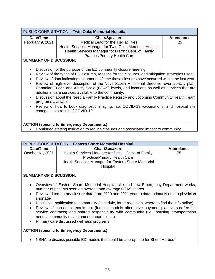| PUBLIC CONSULTATION: Twin Oaks Memorial Hospital |                                                         |                   |
|--------------------------------------------------|---------------------------------------------------------|-------------------|
| Date/Time                                        | <b>Chair/Speakers</b>                                   | <b>Attendance</b> |
| February 9, 2021                                 | Medical Lead for the Tri-Facilities,                    | 25                |
|                                                  | Health Services Manager for Twin Oaks Memorial Hospital |                   |
|                                                  | Health Services Manager for District Dept. of Family    |                   |
|                                                  | <b>Practice/Primary Health Care</b>                     |                   |
| <b>SUMMARY OF DISCUSSION:</b>                    |                                                         |                   |
|                                                  |                                                         |                   |

- Discussion of the purpose of the ED community closure meeting.
- Review of the types of ED closures, reasons for the closures, and mitigation strategies used.
- Review of data indicating the amount of time these closures have occurred within the last year.
- Review of high-level description of the Nova Scotia Ministerial Directive, overcapacity plan, Canadian Triage and Acuity Scale (CTAS) levels, and locations as well as services that are additional care services available to the community.
- Discussion about the Need a Family Practice Registry and upcoming Community Health Team programs available.
- Review of how to book diagnostic imaging, lab, COVID-19 vaccinations, and hospital site changes as a result of COVID-19.

#### **ACTION (specific to Emergency Departments):**

• Continued staffing mitigation to reduce closures and associated impact to community.

| PUBLIC CONSULTATION: Eastern Shore Memorial Hospital |                                                                                                                                                               |                   |
|------------------------------------------------------|---------------------------------------------------------------------------------------------------------------------------------------------------------------|-------------------|
| Date/Time                                            | <b>Chair/Speakers</b>                                                                                                                                         | <b>Attendance</b> |
| October $6th$ , 2021                                 | Health Services Manager for District Dept. of Family<br><b>Practice/Primary Health Care</b><br>Health Services Manager for Eastern Shore Memorial<br>Hospital | 75                |

#### **SUMMARY OF DISCUSSION:**

- Overview of Eastern Shore Memorial Hospital site and how Emergency Department works, number of patients seen on average and average CTAS scores
- Reviewed temporary closure data from 2020 and 2021 year to date, primarily due to physician shortage
- Discussed notification to community (schedule, large road sign, where to find the info online)
- Review of barrier to recruitment (funding models alternative payment plan versus fee-forservice contracts) and shared responsibility with community (i.e., housing, transportation needs, community development opportunities)
- Primary care discussed wellness programs

#### **ACTION (specific to Emergency Departments):**

• NSHA to discuss possible ED models that could be appropriate for Sheet Harbour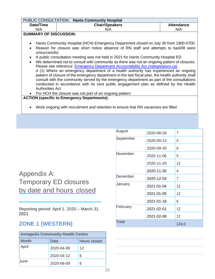|                                                                                                                                                                                                                                                                                                                                                                                                                                                                                                                                                                                                                                                                                                                        | PUBLIC CONSULTATION: Hants Community Hospital |                   |  |
|------------------------------------------------------------------------------------------------------------------------------------------------------------------------------------------------------------------------------------------------------------------------------------------------------------------------------------------------------------------------------------------------------------------------------------------------------------------------------------------------------------------------------------------------------------------------------------------------------------------------------------------------------------------------------------------------------------------------|-----------------------------------------------|-------------------|--|
| Date/Time                                                                                                                                                                                                                                                                                                                                                                                                                                                                                                                                                                                                                                                                                                              | <b>Chair/Speakers</b>                         | <b>Attendance</b> |  |
| N/A                                                                                                                                                                                                                                                                                                                                                                                                                                                                                                                                                                                                                                                                                                                    | N/A                                           | N/A               |  |
| <b>SUMMARY OF DISCUSSION:</b>                                                                                                                                                                                                                                                                                                                                                                                                                                                                                                                                                                                                                                                                                          |                                               |                   |  |
| Hants Community Hospital (HCH) Emergency Department closed on July 30 from 1900-0700.<br>$\bullet$<br>Reason for closure was short notice absence of RN staff and attempts to backfill were<br>$\bullet$<br>unsuccessful.                                                                                                                                                                                                                                                                                                                                                                                                                                                                                              |                                               |                   |  |
| A public consultation meeting was not held in 2021 for Hants Community Hospital ED<br>$\bullet$<br>We determined not to consult with community as there was not an ongoing pattern of closures.<br>$\bullet$<br>Please see reference: <b>Emergency Department Accountability Act (nslegislature.ca)</b><br>4 (1) Where an emergency department of a health authority has experienced an ongoing<br>pattern of closure of the emergency department in the last fiscal year, the health authority shall<br>consult with the community served by the emergency department as part of the consultations<br>conducted in accordance with its next public engagement plan as defined by the Health<br><b>Authorities Act</b> |                                               |                   |  |
| For HCH the closure was not part of an ongoing pattern<br>$\bullet$                                                                                                                                                                                                                                                                                                                                                                                                                                                                                                                                                                                                                                                    |                                               |                   |  |
| <b>ACTION (specific to Emergency Departments):</b><br>Work ongoing with recruitment and retention to ensure that RN vacancies are filled<br>$\bullet$                                                                                                                                                                                                                                                                                                                                                                                                                                                                                                                                                                  |                                               |                   |  |
|                                                                                                                                                                                                                                                                                                                                                                                                                                                                                                                                                                                                                                                                                                                        |                                               |                   |  |

Appendix A: Temporary ED closures by date and hours closed

Reporting period: April 1, 2020 – March 31, 2021

### **ZONE 1 (WESTERN)**

| <b>Annapolis Community Health Centre</b> |                      |    |  |
|------------------------------------------|----------------------|----|--|
| <b>Month</b>                             | Hours closed<br>Date |    |  |
| April                                    | 2020-04-06           | 12 |  |
|                                          | 2020-04-12           | 6  |  |
| June                                     | 2020-06-09           | 6  |  |

| August       | 2020-08-28 | 7     |
|--------------|------------|-------|
| September    | 2020-09-13 | 5     |
|              | 2020-09-30 | 6     |
| November     | 2020-11-06 | 5     |
|              | 2020-11-20 | 12    |
|              | 2020-11-30 | 4     |
| December     | 2020-12-04 | 7     |
| January      | 2021-01-04 | 12    |
|              | 2021-01-05 | 12    |
|              | 2021-01-18 | 6     |
| February     | 2021-02-01 | 12    |
|              | 2021-02-08 | 12    |
| <b>Total</b> |            | 124.0 |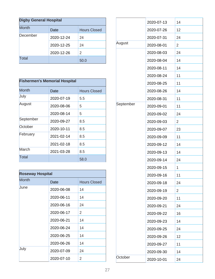| <b>Digby General Hospital</b> |            |                     |
|-------------------------------|------------|---------------------|
| <b>Month</b>                  | Date       | <b>Hours Closed</b> |
| December                      | 2020-12-24 | 24                  |
|                               | 2020-12-25 | 24                  |
|                               | 2020-12-26 | 2                   |
| Total                         |            | 50.0                |

| <b>Fishermen's Memorial Hospital</b> |            |                     |
|--------------------------------------|------------|---------------------|
|                                      |            |                     |
| Month                                | Date       | <b>Hours Closed</b> |
| July                                 | 2020-07-19 | 5.5                 |
| August                               | 2020-08-06 | 5                   |
|                                      | 2020-08-14 | 5                   |
| September                            | 2020-09-27 | 8.5                 |
| October                              | 2020-10-11 | 8.5                 |
| February                             | 2021-02-14 | 8.5                 |
|                                      | 2021-02-18 | 8.5                 |
| March                                | 2021-03-28 | 8.5                 |
| Total                                |            | 58.0                |

| <b>Roseway Hospital</b> |            |                     |
|-------------------------|------------|---------------------|
| <b>Month</b>            | Date       | <b>Hours Closed</b> |
| June                    | 2020-06-08 | 14                  |
|                         | 2020-06-11 | 14                  |
|                         | 2020-06-16 | 24                  |
|                         | 2020-06-17 | $\overline{2}$      |
|                         | 2020-06-21 | 14                  |
|                         | 2020-06-24 | 14                  |
|                         | 2020-06-25 | 14                  |
|                         | 2020-06-26 | 14                  |
| July                    | 2020-07-09 | 24                  |
|                         | 2020-07-10 | 2                   |

|           | 2020-07-13 | 14 |
|-----------|------------|----|
|           | 2020-07-26 | 12 |
|           | 2020-07-31 | 24 |
| August    | 2020-08-01 | 2  |
|           | 2020-08-03 | 24 |
|           | 2020-08-04 | 14 |
|           | 2020-08-11 | 14 |
|           | 2020-08-24 | 11 |
|           | 2020-08-25 | 11 |
|           | 2020-08-26 | 14 |
|           | 2020-08-31 | 11 |
| September | 2020-09-01 | 11 |
|           | 2020-09-02 | 24 |
|           | 2020-09-03 | 2  |
|           | 2020-09-07 | 23 |
|           | 2020-09-09 | 11 |
|           | 2020-09-12 | 14 |
|           | 2020-09-13 | 14 |
|           | 2020-09-14 | 24 |
|           | 2020-09-15 | 1  |
|           | 2020-09-16 | 11 |
|           | 2020-09-18 | 24 |
|           | 2020-09-19 | 2  |
|           | 2020-09-20 | 11 |
|           | 2020-09-21 | 24 |
|           | 2020-09-22 | 16 |
|           | 2020-09-23 | 14 |
|           | 2020-09-25 | 24 |
|           | 2020-09-26 | 12 |
|           | 2020-09-27 | 11 |
|           | 2020-09-30 | 14 |
| October   | 2020-10-01 | 24 |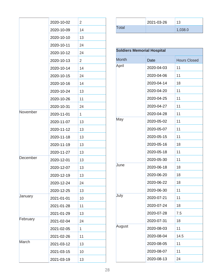|          | 2020-10-02 | 2  |
|----------|------------|----|
|          | 2020-10-09 | 14 |
|          | 2020-10-10 | 13 |
|          | 2020-10-11 | 24 |
|          | 2020-10-12 | 24 |
|          | 2020-10-13 | 2  |
|          | 2020-10-14 | 14 |
|          | 2020-10-15 | 24 |
|          | 2020-10-16 | 14 |
|          | 2020-10-24 | 13 |
|          | 2020-10-26 | 11 |
|          | 2020-10-31 | 24 |
| November | 2020-11-01 | 1  |
|          | 2020-11-07 | 13 |
|          | 2020-11-12 | 13 |
|          | 2020-11-18 | 13 |
|          | 2020-11-19 | 13 |
|          | 2020-11-27 | 13 |
| December | 2020-12-01 | 13 |
|          | 2020-12-07 | 13 |
|          | 2020-12-19 | 13 |
|          | 2020-12-24 | 24 |
|          | 2020-12-25 | 13 |
| January  | 2021-01-01 | 10 |
|          | 2021-01-28 | 11 |
|          | 2021-01-29 | 13 |
| February | 2021-02-04 | 24 |
|          | 2021-02-05 | 1  |
|          | 2021-02-26 | 11 |
| March    | 2021-03-12 | 13 |
|          | 2021-03-15 | 10 |
|          | 2021-03-19 | 13 |

|              | 2021-03-26 | 13      |
|--------------|------------|---------|
| <b>Total</b> |            | 1,038.0 |

| <b>Soldiers Memorial Hospital</b> |             |                     |
|-----------------------------------|-------------|---------------------|
| <b>Month</b>                      | <b>Date</b> | <b>Hours Closed</b> |
| April                             | 2020-04-03  | 11                  |
|                                   | 2020-04-06  | 11                  |
|                                   | 2020-04-14  | 18                  |
|                                   | 2020-04-20  | 11                  |
|                                   | 2020-04-25  | 11                  |
|                                   | 2020-04-27  | 11                  |
|                                   | 2020-04-28  | 11                  |
| May                               | 2020-05-02  | 11                  |
|                                   | 2020-05-07  | 11                  |
|                                   | 2020-05-15  | 11                  |
|                                   | 2020-05-16  | 18                  |
|                                   | 2020-05-18  | 11                  |
|                                   | 2020-05-30  | 11                  |
| June                              | 2020-06-18  | 18                  |
|                                   | 2020-06-20  | 18                  |
|                                   | 2020-06-22  | 18                  |
|                                   | 2020-06-30  | 11                  |
| July                              | 2020-07-21  | 11                  |
|                                   | 2020-07-24  | 18                  |
|                                   | 2020-07-28  | 7.5                 |
|                                   | 2020-07-31  | 18                  |
| August                            | 2020-08-03  | 11                  |
|                                   | 2020-08-04  | 14.5                |
|                                   | 2020-08-05  | 11                  |
|                                   | 2020-08-07  | 11                  |
|                                   | 2020-08-13  | 24                  |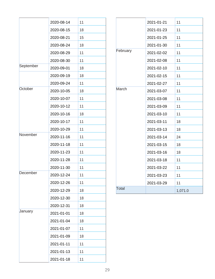|           | 2020-08-14 | 11 |
|-----------|------------|----|
|           | 2020-08-15 | 18 |
|           | 2020-08-21 | 15 |
|           | 2020-08-24 | 18 |
|           | 2020-08-29 | 11 |
|           | 2020-08-30 | 11 |
| September | 2020-09-01 | 18 |
|           | 2020-09-19 | 18 |
|           | 2020-09-24 | 11 |
| October   | 2020-10-05 | 18 |
|           | 2020-10-07 | 11 |
|           | 2020-10-12 | 11 |
|           | 2020-10-16 | 18 |
|           | 2020-10-17 | 11 |
|           | 2020-10-29 | 11 |
| November  | 2020-11-16 | 11 |
|           | 2020-11-18 | 11 |
|           | 2020-11-23 | 11 |
|           | 2020-11-28 | 11 |
|           | 2020-11-30 | 11 |
| December  | 2020-12-24 | 11 |
|           | 2020-12-26 | 11 |
|           | 2020-12-29 | 18 |
|           | 2020-12-30 | 18 |
|           | 2020-12-31 | 18 |
| January   | 2021-01-01 | 18 |
|           | 2021-01-04 | 18 |
|           | 2021-01-07 | 11 |
|           | 2021-01-09 | 18 |
|           | 2021-01-11 | 11 |
|           | 2021-01-13 | 11 |
|           | 2021-01-18 | 11 |

|          | 2021-01-21 | 11      |
|----------|------------|---------|
|          | 2021-01-23 | 11      |
|          | 2021-01-25 | 11      |
|          | 2021-01-30 | 11      |
| February | 2021-02-02 | 11      |
|          | 2021-02-08 | 11      |
|          | 2021-02-10 | 11      |
|          | 2021-02-15 | 11      |
|          | 2021-02-27 | 11      |
| March    | 2021-03-07 | 11      |
|          | 2021-03-08 | 11      |
|          | 2021-03-09 | 11      |
|          | 2021-03-10 | 11      |
|          | 2021-03-11 | 18      |
|          | 2021-03-13 | 18      |
|          | 2021-03-14 | 24      |
|          | 2021-03-15 | 18      |
|          | 2021-03-16 | 18      |
|          | 2021-03-18 | 11      |
|          | 2021-03-22 | 11      |
|          | 2021-03-23 | 11      |
|          | 2021-03-29 | 11      |
| Total    |            | 1,071.0 |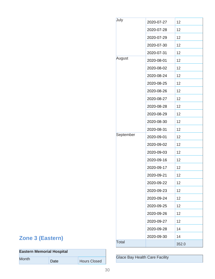| July         | 2020-07-27 | 12    |
|--------------|------------|-------|
|              | 2020-07-28 | 12    |
|              | 2020-07-29 | 12    |
|              | 2020-07-30 | 12    |
|              | 2020-07-31 | 12    |
| August       | 2020-08-01 | 12    |
|              | 2020-08-02 | 12    |
|              | 2020-08-24 | 12    |
|              | 2020-08-25 | 12    |
|              | 2020-08-26 | 12    |
|              | 2020-08-27 | 12    |
|              | 2020-08-28 | 12    |
|              | 2020-08-29 | 12    |
|              | 2020-08-30 | 12    |
|              | 2020-08-31 | 12    |
| September    | 2020-09-01 | 12    |
|              | 2020-09-02 | 12    |
|              | 2020-09-03 | 12    |
|              | 2020-09-16 | 12    |
|              | 2020-09-17 | 12    |
|              | 2020-09-21 | 12    |
|              | 2020-09-22 | 12    |
|              | 2020-09-23 | 12    |
|              | 2020-09-24 | 12    |
|              | 2020-09-25 | 12    |
|              | 2020-09-26 | 12    |
|              | 2020-09-27 | 12    |
|              | 2020-09-28 | 14    |
|              | 2020-09-30 | 14    |
| <b>Total</b> |            | 352.0 |

## **Zone 3 (Eastern)**

| <b>Eastern Memorial Hospital</b> |      |                     |
|----------------------------------|------|---------------------|
| <b>Month</b>                     | Date | <b>Hours Closed</b> |

Glace Bay Health Care Facility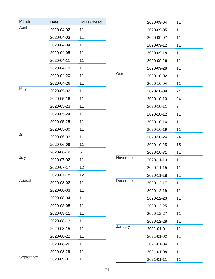| Month     | Date       | <b>Hours Closed</b> |
|-----------|------------|---------------------|
| April     | 2020-04-02 | 11                  |
|           | 2020-04-03 | 11                  |
|           | 2020-04-04 | 11                  |
|           | 2020-04-05 | 11                  |
|           | 2020-04-11 | 11                  |
|           | 2020-04-19 | 11                  |
|           | 2020-04-20 | 11                  |
|           | 2020-04-26 | 11                  |
| May       | 2020-05-02 | 11                  |
|           | 2020-05-16 | 11                  |
|           | 2020-05-23 | 11                  |
|           | 2020-05-24 | 11                  |
|           | 2020-05-25 | 11                  |
|           | 2020-05-30 | 11                  |
| June      | 2020-06-03 | 11                  |
|           | 2020-06-09 | 11                  |
|           | 2020-06-19 | 6                   |
| July      | 2020-07-02 | 11                  |
|           | 2020-07-17 | 12                  |
|           | 2020-07-18 | 12                  |
| August    | 2020-08-02 | 11                  |
|           | 2020-08-03 | 11                  |
|           | 2020-08-04 | 11                  |
|           | 2020-08-08 | 11                  |
|           | 2020-08-11 | 11                  |
|           | 2020-08-13 | 11                  |
|           | 2020-08-15 | 11                  |
|           | 2020-08-22 | 11                  |
|           | 2020-08-26 | 11                  |
|           | 2020-08-29 | 11                  |
| September | 2020-09-01 | 11                  |

|          | 2020-09-04 | 11 |
|----------|------------|----|
|          | 2020-09-05 | 11 |
|          | 2020-09-07 | 11 |
|          | 2020-09-12 | 11 |
|          | 2020-09-18 | 11 |
|          | 2020-09-26 | 11 |
|          | 2020-09-28 | 11 |
| October  | 2020-10-02 | 11 |
|          | 2020-10-04 | 11 |
|          | 2020-10-09 | 24 |
|          | 2020-10-10 | 24 |
|          | 2020-10-11 | 7  |
|          | 2020-10-12 | 11 |
|          | 2020-10-16 | 11 |
|          | 2020-10-19 | 11 |
|          | 2020-10-24 | 24 |
|          | 2020-10-25 | 15 |
|          | 2020-10-31 | 11 |
| November | 2020-11-13 | 11 |
|          | 2020-11-15 | 11 |
|          | 2020-11-18 | 11 |
| December | 2020-12-17 | 11 |
|          | 2020-12-19 | 11 |
|          | 2020-12-23 | 11 |
|          | 2020-12-25 | 11 |
|          | 2020-12-27 | 11 |
|          | 2020-12-28 | 11 |
| January  | 2021-01-01 | 11 |
|          | 2021-01-02 | 11 |
|          | 2021-01-04 | 11 |
|          | 2021-01-08 | 11 |
|          | 2021-01-11 | 11 |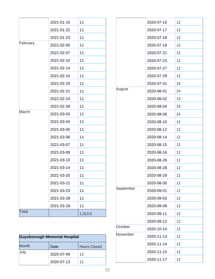|              | 2021-01-15 | 11      |
|--------------|------------|---------|
|              | 2021-01-22 | 11      |
|              | 2021-01-23 | 11      |
| February     | 2021-02-05 | 11      |
|              | 2021-02-07 | 11      |
|              | 2021-02-10 | 11      |
|              | 2021-02-14 | 11      |
|              | 2021-02-15 | 11      |
|              | 2021-02-20 | 11      |
|              | 2021-02-21 | 11      |
|              | 2021-02-24 | 11      |
|              | 2021-02-28 | 11      |
| March        | 2021-03-03 | 11      |
|              | 2021-03-04 | 11      |
|              | 2021-03-05 | 11      |
|              | 2021-03-06 | 11      |
|              | 2021-03-07 | 11      |
|              | 2021-03-09 | 11      |
|              | 2021-03-10 | 11      |
|              | 2021-03-14 | 11      |
|              | 2021-03-20 | 11      |
|              | 2021-03-21 | 11      |
|              | 2021-03-23 | 11      |
|              | 2021-03-28 | 11      |
|              | 2021-03-29 | 11      |
| <b>Total</b> |            | 1,013.0 |

| <b>Guysborough Memorial Hospital</b> |            |                     |
|--------------------------------------|------------|---------------------|
| <b>Month</b>                         | Date       | <b>Hours Closed</b> |
| July                                 | 2020-07-09 | 12                  |
|                                      | 2020-07-13 | 12                  |

|           | 2020-07-15 | 12 |
|-----------|------------|----|
|           | 2020-07-17 | 12 |
|           | 2020-07-18 | 12 |
|           | 2020-07-19 | 12 |
|           | 2020-07-21 | 12 |
|           | 2020-07-23 | 12 |
|           | 2020-07-27 | 12 |
|           | 2020-07-29 | 12 |
|           | 2020-07-31 | 24 |
| August    | 2020-08-01 | 24 |
|           | 2020-08-02 | 13 |
|           | 2020-08-04 | 24 |
|           | 2020-08-06 | 24 |
|           | 2020-08-10 | 12 |
|           | 2020-08-12 | 12 |
|           | 2020-08-14 | 12 |
|           | 2020-08-15 | 12 |
|           | 2020-08-16 | 12 |
|           | 2020-08-26 | 12 |
|           | 2020-08-28 | 12 |
|           | 2020-08-29 | 12 |
|           | 2020-08-30 | 12 |
| September | 2020-09-01 | 12 |
|           | 2020-09-03 | 12 |
|           | 2020-09-09 | 12 |
|           | 2020-09-11 | 12 |
|           | 2020-09-12 | 12 |
| October   | 2020-10-14 | 12 |
| November  | 2020-11-13 | 12 |
|           | 2020-11-14 | 12 |
|           | 2020-11-15 | 12 |
|           | 2020-11-17 | 12 |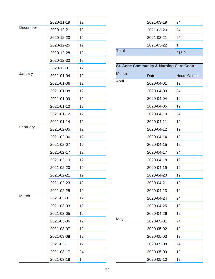|          | 2020-11-19 | 12 |
|----------|------------|----|
| December | 2020-12-21 | 12 |
|          | 2020-12-23 | 12 |
|          | 2020-12-25 | 12 |
|          | 2020-12-28 | 12 |
|          | 2020-12-30 | 12 |
|          | 2020-12-31 | 12 |
| January  | 2021-01-04 | 12 |
|          | 2021-01-06 | 12 |
|          | 2021-01-08 | 12 |
|          | 2021-01-09 | 12 |
|          | 2021-01-10 | 12 |
|          | 2021-01-12 | 12 |
|          | 2021-01-14 | 12 |
| February | 2021-02-05 | 12 |
|          | 2021-02-06 | 12 |
|          | 2021-02-07 | 12 |
|          | 2021-02-17 | 12 |
|          | 2021-02-19 | 12 |
|          | 2021-02-20 | 12 |
|          | 2021-02-21 | 12 |
|          | 2021-02-23 | 12 |
|          | 2021-02-25 | 12 |
| March    | 2021-03-01 | 12 |
|          | 2021-03-03 | 12 |
|          | 2021-03-05 | 12 |
|          | 2021-03-06 | 12 |
|          | 2021-03-07 | 12 |
|          | 2021-03-08 | 12 |
|          | 2021-03-11 | 12 |
|          | 2021-03-17 | 24 |
|          | 2021-03-18 | 1  |

|              | 2021-03-19 | 24    |
|--------------|------------|-------|
|              | 2021-03-20 | 24    |
|              | 2021-03-21 | 24    |
|              | 2021-03-22 | 1     |
| <b>Total</b> |            | 915.0 |

## **St. Anne Community & Nursing Care Centre**

| <b>Month</b> | Date       | <b>Hours Closed</b> |
|--------------|------------|---------------------|
| April        | 2020-04-01 | 19                  |
|              | 2020-04-03 | 24                  |
|              | 2020-04-04 | 12                  |
|              | 2020-04-05 | 12                  |
|              | 2020-04-10 | 24                  |
|              | 2020-04-11 | 12                  |
|              | 2020-04-12 | 12                  |
|              | 2020-04-14 | 12                  |
|              | 2020-04-15 | 12                  |
|              | 2020-04-17 | 24                  |
|              | 2020-04-18 | 12                  |
|              | 2020-04-19 | 12                  |
|              | 2020-04-20 | 12                  |
|              | 2020-04-21 | 12                  |
|              | 2020-04-23 | 12                  |
|              | 2020-04-24 | 24                  |
|              | 2020-04-25 | 12                  |
|              | 2020-04-26 | 12                  |
| May          | 2020-05-01 | 24                  |
|              | 2020-05-02 | 12                  |
|              | 2020-05-03 | 12                  |
|              | 2020-05-08 | 24                  |
|              | 2020-05-09 | 12                  |
|              | 2020-05-10 | 12                  |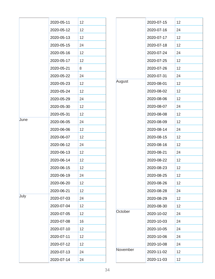|      | 2020-05-11 | 12 |
|------|------------|----|
|      | 2020-05-12 | 12 |
|      | 2020-05-13 | 12 |
|      | 2020-05-15 | 24 |
|      | 2020-05-16 | 12 |
|      | 2020-05-17 | 12 |
|      | 2020-05-21 | 8  |
|      | 2020-05-22 | 24 |
|      | 2020-05-23 | 12 |
|      | 2020-05-24 | 12 |
|      | 2020-05-29 | 24 |
|      | 2020-05-30 | 12 |
|      | 2020-05-31 | 12 |
| June | 2020-06-05 | 24 |
|      | 2020-06-06 | 12 |
|      | 2020-06-07 | 12 |
|      | 2020-06-12 | 24 |
|      | 2020-06-13 | 12 |
|      | 2020-06-14 | 12 |
|      | 2020-06-15 | 12 |
|      | 2020-06-19 | 24 |
|      | 2020-06-20 | 12 |
|      | 2020-06-21 | 12 |
| July | 2020-07-03 | 24 |
|      | 2020-07-04 | 12 |
|      | 2020-07-05 | 12 |
|      | 2020-07-08 | 16 |
|      | 2020-07-10 | 12 |
|      | 2020-07-11 | 12 |
|      | 2020-07-12 | 12 |
|      | 2020-07-13 | 24 |
|      | 2020-07-14 | 24 |

|          | 2020-07-15 | 12 |
|----------|------------|----|
|          | 2020-07-16 | 24 |
|          | 2020-07-17 | 12 |
|          | 2020-07-18 | 12 |
|          | 2020-07-24 | 24 |
|          | 2020-07-25 | 12 |
|          | 2020-07-26 | 12 |
|          | 2020-07-31 | 24 |
| August   | 2020-08-01 | 12 |
|          | 2020-08-02 | 12 |
|          | 2020-08-06 | 12 |
|          | 2020-08-07 | 24 |
|          | 2020-08-08 | 12 |
|          | 2020-08-09 | 12 |
|          | 2020-08-14 | 24 |
|          | 2020-08-15 | 12 |
|          | 2020-08-16 | 12 |
|          | 2020-08-21 | 24 |
|          | 2020-08-22 | 12 |
|          | 2020-08-23 | 12 |
|          | 2020-08-25 | 12 |
|          | 2020-08-26 | 12 |
|          | 2020-08-28 | 24 |
|          | 2020-08-29 | 12 |
|          | 2020-08-30 | 12 |
| October  | 2020-10-02 | 24 |
|          | 2020-10-03 | 24 |
|          | 2020-10-05 | 24 |
|          | 2020-10-06 | 24 |
|          | 2020-10-08 | 24 |
| November | 2020-11-02 | 12 |
|          | 2020-11-03 | 12 |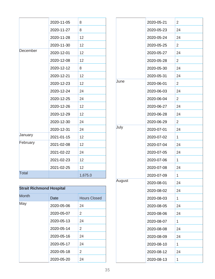|              | 2020-11-05 | 8       |
|--------------|------------|---------|
|              | 2020-11-27 | 8       |
|              | 2020-11-28 | 12      |
|              | 2020-11-30 | 12      |
| December     | 2020-12-01 | 12      |
|              | 2020-12-08 | 12      |
|              | 2020-12-12 | 8       |
|              | 2020-12-21 | 12      |
|              | 2020-12-23 | 12      |
|              | 2020-12-24 | 24      |
|              | 2020-12-25 | 24      |
|              | 2020-12-26 | 12      |
|              | 2020-12-29 | 12      |
|              | 2020-12-30 | 24      |
|              | 2020-12-31 | 24      |
| January      | 2021-01-15 | 12      |
| February     | 2021-02-08 | 12      |
|              | 2021-02-22 | 24      |
|              | 2021-02-23 | 12      |
|              | 2021-02-25 | 12      |
| <b>Total</b> |            | 1,675.0 |

| <b>Strait Richmond Hospital</b> |            |                     |
|---------------------------------|------------|---------------------|
| <b>Month</b>                    | Date       | <b>Hours Closed</b> |
| May                             | 2020-05-06 | 24                  |
|                                 | 2020-05-07 | 2                   |
|                                 | 2020-05-13 | 24                  |
|                                 | 2020-05-14 | 2                   |
|                                 | 2020-05-16 | 24                  |
|                                 | 2020-05-17 | 24                  |
|                                 | 2020-05-18 | 2                   |
|                                 | 2020-05-20 | 24                  |

|        | 2020-05-21 | 2  |
|--------|------------|----|
|        | 2020-05-23 | 24 |
|        | 2020-05-24 | 24 |
|        | 2020-05-25 | 2  |
|        | 2020-05-27 | 24 |
|        | 2020-05-28 | 2  |
|        | 2020-05-30 | 24 |
|        | 2020-05-31 | 24 |
| June   | 2020-06-01 | 2  |
|        | 2020-06-03 | 24 |
|        | 2020-06-04 | 2  |
|        | 2020-06-27 | 24 |
|        | 2020-06-28 | 24 |
|        | 2020-06-29 | 2  |
| July   | 2020-07-01 | 24 |
|        | 2020-07-02 | 1  |
|        | 2020-07-04 | 24 |
|        | 2020-07-05 | 24 |
|        | 2020-07-06 | 1  |
|        | 2020-07-08 | 24 |
|        | 2020-07-09 | 1  |
| August | 2020-08-01 | 24 |
|        | 2020-08-02 | 24 |
|        | 2020-08-03 | 1  |
|        | 2020-08-05 | 24 |
|        | 2020-08-06 | 24 |
|        | 2020-08-07 | 1  |
|        | 2020-08-08 | 24 |
|        | 2020-08-09 | 24 |
|        | 2020-08-10 | 1  |
|        | 2020-08-12 | 24 |
|        | 2020-08-13 | 1  |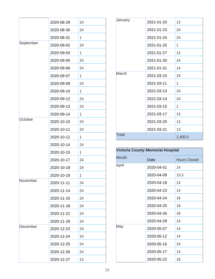|           | 2020-08-29 | 24 |
|-----------|------------|----|
|           | 2020-08-30 | 24 |
|           | 2020-08-31 | 1  |
| September | 2020-09-02 | 24 |
|           | 2020-09-03 | 1  |
|           | 2020-09-05 | 24 |
|           | 2020-09-06 | 24 |
|           | 2020-09-07 | 1  |
|           | 2020-09-09 | 24 |
|           | 2020-09-10 | 1  |
|           | 2020-09-12 | 24 |
|           | 2020-09-13 | 24 |
|           | 2020-09-14 | 1  |
| October   | 2020-10-10 | 24 |
|           | 2020-10-11 | 24 |
|           | 2020-10-12 | 1  |
|           | 2020-10-14 | 24 |
|           | 2020-10-15 | 1  |
|           | 2020-10-17 | 24 |
|           | 2020-10-18 | 24 |
|           | 2020-10-19 | 1  |
| November  | 2020-11-11 | 24 |
|           | 2020-11-14 | 24 |
|           | 2020-11-15 | 24 |
|           | 2020-11-18 | 24 |
|           | 2020-11-21 | 24 |
|           | 2020-11-29 | 24 |
| December  | 2020-12-23 | 24 |
|           | 2020-12-24 | 24 |
|           | 2020-12-25 | 24 |
|           | 2020-12-26 | 24 |
|           | 2020-12-27 | 13 |

| January      | 2021-01-20 | 13      |
|--------------|------------|---------|
|              | 2021-01-23 | 24      |
|              | 2021-01-24 | 24      |
|              | 2021-01-25 | 1       |
|              | 2021-01-27 | 13      |
|              | 2021-01-30 | 24      |
|              | 2021-01-31 | 14      |
| March        | 2021-03-10 | 24      |
|              | 2021-03-11 | 1       |
|              | 2021-03-13 | 24      |
|              | 2021-03-14 | 24      |
|              | 2021-03-15 | 1       |
|              | 2021-03-17 | 13      |
|              | 2021-03-20 | 13      |
|              | 2021-03-21 | 13      |
| <b>Total</b> |            | 1,400.0 |

| <b>Victoria County Memorial Hospital</b> |                             |      |  |  |  |
|------------------------------------------|-----------------------------|------|--|--|--|
| <b>Month</b>                             | <b>Hours Closed</b><br>Date |      |  |  |  |
| April                                    | 2020-04-01                  | 14   |  |  |  |
|                                          | 2020-04-09                  | 15.5 |  |  |  |
|                                          | 2020-04-18                  | 14   |  |  |  |
|                                          | 2020-04-23                  | 14   |  |  |  |
|                                          | 2020-04-24                  | 16   |  |  |  |
|                                          | 2020-04-25                  | 16   |  |  |  |
|                                          | 2020-04-26                  | 16   |  |  |  |
|                                          | 2020-04-28                  | 14   |  |  |  |
| May                                      | 2020-05-07                  | 14   |  |  |  |
|                                          | 2020-05-12                  | 14   |  |  |  |
|                                          | 2020-05-16                  | 24   |  |  |  |
|                                          | 2020-05-17                  | 14   |  |  |  |
|                                          | 2020-05-22                  | 16   |  |  |  |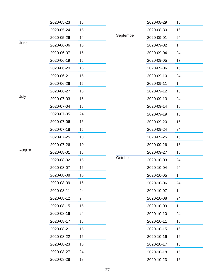|        | 2020-05-23 | 16 |
|--------|------------|----|
|        | 2020-05-24 | 16 |
|        | 2020-05-26 | 14 |
| June   | 2020-06-06 | 16 |
|        | 2020-06-07 | 16 |
|        | 2020-06-19 | 16 |
|        | 2020-06-20 | 16 |
|        | 2020-06-21 | 16 |
|        | 2020-06-26 | 16 |
|        | 2020-06-27 | 16 |
| July   | 2020-07-03 | 16 |
|        | 2020-07-04 | 16 |
|        | 2020-07-05 | 24 |
|        | 2020-07-06 | 16 |
|        | 2020-07-18 | 16 |
|        | 2020-07-25 | 10 |
|        | 2020-07-26 | 10 |
| August | 2020-08-01 | 16 |
|        | 2020-08-02 | 16 |
|        | 2020-08-07 | 16 |
|        | 2020-08-08 | 16 |
|        | 2020-08-09 | 16 |
|        | 2020-08-11 | 24 |
|        | 2020-08-12 | 2  |
|        | 2020-08-15 | 16 |
|        | 2020-08-16 | 24 |
|        | 2020-08-17 | 16 |
|        | 2020-08-21 | 16 |
|        | 2020-08-22 | 16 |
|        | 2020-08-23 | 16 |
|        | 2020-08-27 | 24 |
|        | 2020-08-28 | 18 |

|           | 2020-08-29 | 16 |
|-----------|------------|----|
|           | 2020-08-30 | 16 |
| September | 2020-09-01 | 24 |
|           | 2020-09-02 | 1  |
|           | 2020-09-04 | 24 |
|           | 2020-09-05 | 17 |
|           | 2020-09-06 | 16 |
|           | 2020-09-10 | 24 |
|           | 2020-09-11 | 1  |
|           | 2020-09-12 | 16 |
|           | 2020-09-13 | 24 |
|           | 2020-09-14 | 16 |
|           | 2020-09-19 | 16 |
|           | 2020-09-20 | 16 |
|           | 2020-09-24 | 24 |
|           | 2020-09-25 | 16 |
|           | 2020-09-26 | 16 |
|           | 2020-09-27 | 16 |
| October   | 2020-10-03 | 24 |
|           | 2020-10-04 | 24 |
|           | 2020-10-05 | 1  |
|           | 2020-10-06 | 24 |
|           | 2020-10-07 | 1  |
|           | 2020-10-08 | 24 |
|           | 2020-10-09 | 1  |
|           | 2020-10-10 | 24 |
|           | 2020-10-11 | 16 |
|           | 2020-10-15 | 16 |
|           | 2020-10-16 | 16 |
|           | 2020-10-17 | 16 |
|           | 2020-10-18 | 16 |
|           | 2020-10-23 | 16 |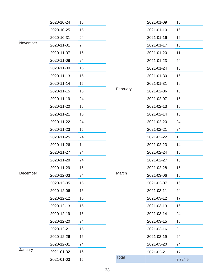|          | 2020-10-24 | 16             |
|----------|------------|----------------|
|          | 2020-10-25 | 16             |
|          | 2020-10-31 | 24             |
| November | 2020-11-01 | $\overline{2}$ |
|          | 2020-11-07 | 16             |
|          | 2020-11-08 | 24             |
|          | 2020-11-09 | 16             |
|          | 2020-11-13 | 16             |
|          | 2020-11-14 | 16             |
|          | 2020-11-15 | 16             |
|          | 2020-11-19 | 24             |
|          | 2020-11-20 | 16             |
|          | 2020-11-21 | 16             |
|          | 2020-11-22 | 24             |
|          | 2020-11-23 | 16             |
|          | 2020-11-25 | 24             |
|          | 2020-11-26 | 1              |
|          | 2020-11-27 | 24             |
|          | 2020-11-28 | 24             |
|          | 2020-11-29 | 16             |
| December | 2020-12-03 | 24             |
|          | 2020-12-05 | 16             |
|          | 2020-12-06 | 16             |
|          | 2020-12-12 | 16             |
|          | 2020-12-13 | 16             |
|          | 2020-12-19 | 16             |
|          | 2020-12-20 | 24             |
|          | 2020-12-21 | 16             |
|          | 2020-12-26 | 16             |
|          | 2020-12-31 | 24             |
| January  | 2021-01-02 | 16             |
|          | 2021-01-03 | 16             |

|              | 2021-01-09 | 16      |
|--------------|------------|---------|
|              | 2021-01-10 | 16      |
|              | 2021-01-16 | 16      |
|              | 2021-01-17 | 16      |
|              | 2021-01-20 | 11      |
|              | 2021-01-23 | 24      |
|              | 2021-01-24 | 16      |
|              | 2021-01-30 | 16      |
|              | 2021-01-31 | 16      |
| February     | 2021-02-06 | 16      |
|              | 2021-02-07 | 16      |
|              | 2021-02-13 | 16      |
|              | 2021-02-14 | 16      |
|              | 2021-02-20 | 24      |
|              | 2021-02-21 | 24      |
|              | 2021-02-22 | 1       |
|              | 2021-02-23 | 14      |
|              | 2021-02-24 | 15      |
|              | 2021-02-27 | 16      |
|              | 2021-02-28 | 16      |
| March        | 2021-03-06 | 16      |
|              | 2021-03-07 | 16      |
|              | 2021-03-11 | 24      |
|              | 2021-03-12 | 17      |
|              | 2021-03-13 | 16      |
|              | 2021-03-14 | 24      |
|              | 2021-03-15 | 16      |
|              | 2021-03-16 | 9       |
|              | 2021-03-19 | 24      |
|              | 2021-03-20 | 24      |
|              | 2021-03-21 | 17      |
| <b>Total</b> |            | 2,324.5 |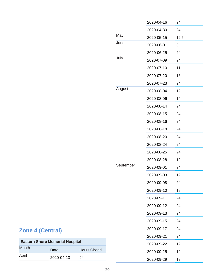|           | 2020-04-16 | 24   |
|-----------|------------|------|
|           | 2020-04-30 | 24   |
| May       | 2020-05-15 | 12.5 |
| June      | 2020-06-01 | 8    |
|           | 2020-06-25 | 24   |
| July      | 2020-07-09 | 24   |
|           | 2020-07-10 | 11   |
|           | 2020-07-20 | 13   |
|           | 2020-07-23 | 24   |
| August    | 2020-08-04 | 12   |
|           | 2020-08-06 | 14   |
|           | 2020-08-14 | 24   |
|           | 2020-08-15 | 24   |
|           | 2020-08-16 | 24   |
|           | 2020-08-18 | 24   |
|           | 2020-08-20 | 24   |
|           | 2020-08-24 | 24   |
|           | 2020-08-25 | 24   |
|           | 2020-08-28 | 12   |
| September | 2020-09-01 | 24   |
|           | 2020-09-03 | 12   |
|           | 2020-09-08 | 24   |
|           | 2020-09-10 | 19   |
|           | 2020-09-11 | 24   |
|           | 2020-09-12 | 24   |
|           | 2020-09-13 | 24   |
|           | 2020-09-15 | 24   |
|           | 2020-09-17 | 24   |
|           | 2020-09-21 | 24   |
|           | 2020-09-22 | 12   |
|           | 2020-09-25 | 12   |
|           | 2020-09-29 | 12   |

## **Zone 4 (Central)**

| <b>Eastern Shore Memorial Hospital</b>      |            |    |  |  |  |
|---------------------------------------------|------------|----|--|--|--|
| <b>Month</b><br><b>Hours Closed</b><br>Date |            |    |  |  |  |
| April                                       | 2020-04-13 | 24 |  |  |  |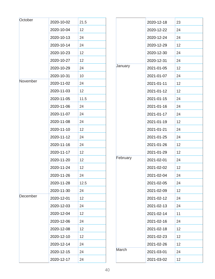| October  | 2020-10-02 | 21.5 |  |          | 2020-12-18 | 23 |
|----------|------------|------|--|----------|------------|----|
|          | 2020-10-04 | 12   |  |          | 2020-12-22 | 24 |
|          | 2020-10-13 | 24   |  |          | 2020-12-24 | 24 |
|          | 2020-10-14 | 24   |  |          | 2020-12-29 | 12 |
|          | 2020-10-23 | 12   |  |          | 2020-12-30 | 24 |
|          | 2020-10-27 | 12   |  |          | 2020-12-31 | 24 |
|          | 2020-10-29 | 24   |  | January  | 2021-01-05 | 12 |
|          | 2020-10-31 | 10   |  |          | 2021-01-07 | 24 |
| November | 2020-11-02 | 24   |  |          | 2021-01-11 | 12 |
|          | 2020-11-03 | 12   |  |          | 2021-01-12 | 12 |
|          | 2020-11-05 | 11.5 |  |          | 2021-01-15 | 24 |
|          | 2020-11-06 | 24   |  |          | 2021-01-16 | 24 |
|          | 2020-11-07 | 24   |  |          | 2021-01-17 | 24 |
|          | 2020-11-08 | 24   |  |          | 2021-01-19 | 12 |
|          | 2020-11-10 | 12   |  | February | 2021-01-21 | 24 |
|          | 2020-11-12 | 24   |  |          | 2021-01-25 | 24 |
|          | 2020-11-16 | 24   |  |          | 2021-01-26 | 12 |
|          | 2020-11-17 | 12   |  |          | 2021-01-29 | 12 |
|          | 2020-11-20 | 12   |  |          | 2021-02-01 | 24 |
|          | 2020-11-24 | 12   |  |          | 2021-02-02 | 12 |
|          | 2020-11-26 | 24   |  |          | 2021-02-04 | 24 |
|          | 2020-11-28 | 12.5 |  |          | 2021-02-05 | 24 |
|          | 2020-11-30 | 24   |  |          | 2021-02-09 | 12 |
| December | 2020-12-01 | 12   |  |          | 2021-02-12 | 24 |
|          | 2020-12-03 | 24   |  |          | 2021-02-13 | 24 |
|          | 2020-12-04 | 12   |  |          | 2021-02-14 | 11 |
|          | 2020-12-06 | 24   |  | March    | 2021-02-16 | 24 |
|          | 2020-12-08 | 12   |  |          | 2021-02-18 | 12 |
|          | 2020-12-10 | 12   |  |          | 2021-02-23 | 12 |
|          | 2020-12-14 | 24   |  |          | 2021-02-26 | 12 |
|          | 2020-12-15 | 24   |  |          | 2021-03-01 | 24 |
|          | 2020-12-17 | 24   |  |          | 2021-03-02 | 12 |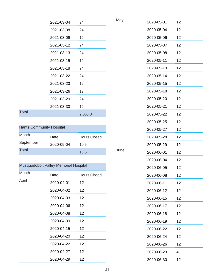|       | 2021-03-04 | 24                |
|-------|------------|-------------------|
|       | 2021-03-08 | 24                |
|       | 2021-03-09 | $12 \overline{ }$ |
|       | 2021-03-12 | 24                |
|       | 2021-03-13 | 24                |
|       | 2021-03-15 | $12 \overline{ }$ |
|       | 2021-03-18 | 24                |
|       | 2021-03-22 | 24                |
|       | 2021-03-23 | 12                |
|       | 2021-03-26 | 12                |
|       | 2021-03-29 | 24                |
|       | 2021-03-30 | $12 \overline{ }$ |
| Total |            | 2,063.0           |

| <b>Hants Community Hospital</b> |            |                     |  |
|---------------------------------|------------|---------------------|--|
| Month                           | Date       | <b>Hours Closed</b> |  |
| September                       | 2020-09-04 | 10.5                |  |
| Total                           |            | 10.5                |  |

| Musquodoboit Valley Memorial Hospital |            |                     |
|---------------------------------------|------------|---------------------|
| Month                                 | Date       | <b>Hours Closed</b> |
| April                                 | 2020-04-01 | 12                  |
|                                       | 2020-04-02 | 12                  |
|                                       | 2020-04-03 | 12                  |
|                                       | 2020-04-06 | 12                  |
|                                       | 2020-04-08 | 12                  |
|                                       | 2020-04-09 | 12                  |
|                                       | 2020-04-15 | 12                  |
|                                       | 2020-04-20 | 12                  |
|                                       | 2020-04-22 | 12                  |
|                                       | 2020-04-27 | 12                  |
|                                       | 2020-04-29 | 12                  |

| 2020-05-04<br>12<br>2020-05-06<br>12<br>12<br>2020-05-07<br>2020-05-08<br>12<br>2020-05-11<br>12<br>2020-05-13<br>12<br>2020-05-14<br>12<br>12<br>2020-05-15<br>2020-05-18<br>12<br>2020-05-20<br>12<br>2020-05-21<br>12<br>2020-05-22<br>12<br>2020-05-25<br>12<br>12<br>2020-05-27<br>2020-05-28<br>12<br>2020-05-29<br>12<br>2020-06-01<br>12<br>2020-06-04<br>12<br>2020-06-05<br>12<br>2020-06-08<br>12<br>12<br>2020-06-11<br>12<br>2020-06-12 |  |
|------------------------------------------------------------------------------------------------------------------------------------------------------------------------------------------------------------------------------------------------------------------------------------------------------------------------------------------------------------------------------------------------------------------------------------------------------|--|
| June                                                                                                                                                                                                                                                                                                                                                                                                                                                 |  |
|                                                                                                                                                                                                                                                                                                                                                                                                                                                      |  |
|                                                                                                                                                                                                                                                                                                                                                                                                                                                      |  |
|                                                                                                                                                                                                                                                                                                                                                                                                                                                      |  |
|                                                                                                                                                                                                                                                                                                                                                                                                                                                      |  |
|                                                                                                                                                                                                                                                                                                                                                                                                                                                      |  |
|                                                                                                                                                                                                                                                                                                                                                                                                                                                      |  |
|                                                                                                                                                                                                                                                                                                                                                                                                                                                      |  |
|                                                                                                                                                                                                                                                                                                                                                                                                                                                      |  |
|                                                                                                                                                                                                                                                                                                                                                                                                                                                      |  |
|                                                                                                                                                                                                                                                                                                                                                                                                                                                      |  |
|                                                                                                                                                                                                                                                                                                                                                                                                                                                      |  |
|                                                                                                                                                                                                                                                                                                                                                                                                                                                      |  |
|                                                                                                                                                                                                                                                                                                                                                                                                                                                      |  |
|                                                                                                                                                                                                                                                                                                                                                                                                                                                      |  |
|                                                                                                                                                                                                                                                                                                                                                                                                                                                      |  |
|                                                                                                                                                                                                                                                                                                                                                                                                                                                      |  |
|                                                                                                                                                                                                                                                                                                                                                                                                                                                      |  |
|                                                                                                                                                                                                                                                                                                                                                                                                                                                      |  |
|                                                                                                                                                                                                                                                                                                                                                                                                                                                      |  |
|                                                                                                                                                                                                                                                                                                                                                                                                                                                      |  |
|                                                                                                                                                                                                                                                                                                                                                                                                                                                      |  |
| 2020-06-15<br>12                                                                                                                                                                                                                                                                                                                                                                                                                                     |  |
| 12<br>2020-06-17                                                                                                                                                                                                                                                                                                                                                                                                                                     |  |
| 2020-06-18<br>12                                                                                                                                                                                                                                                                                                                                                                                                                                     |  |
| 2020-06-19<br>12                                                                                                                                                                                                                                                                                                                                                                                                                                     |  |
| 2020-06-22<br>12                                                                                                                                                                                                                                                                                                                                                                                                                                     |  |
| 12<br>2020-06-24                                                                                                                                                                                                                                                                                                                                                                                                                                     |  |
| 2020-06-26<br>12                                                                                                                                                                                                                                                                                                                                                                                                                                     |  |
| 2020-06-29<br>4                                                                                                                                                                                                                                                                                                                                                                                                                                      |  |
| 12<br>2020-06-30                                                                                                                                                                                                                                                                                                                                                                                                                                     |  |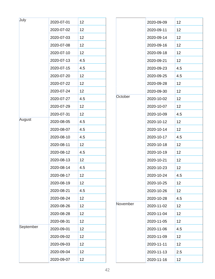| July      | 2020-07-01 | 12  |          | 2020-09-09 | 12              |
|-----------|------------|-----|----------|------------|-----------------|
|           | 2020-07-02 | 12  |          | 2020-09-11 | 12              |
|           | 2020-07-03 | 12  |          | 2020-09-14 | 12              |
|           | 2020-07-08 | 12  |          | 2020-09-16 | 12              |
|           | 2020-07-10 | 12  |          | 2020-09-18 | 12 <sub>2</sub> |
|           | 2020-07-13 | 4.5 |          | 2020-09-21 | 12              |
|           | 2020-07-15 | 4.5 |          | 2020-09-23 | 4.5             |
|           | 2020-07-20 | 12  |          | 2020-09-25 | 4.5             |
|           | 2020-07-22 | 12  |          | 2020-09-28 | 12              |
|           | 2020-07-24 | 12  |          | 2020-09-30 | 12              |
|           | 2020-07-27 | 4.5 | October  | 2020-10-02 | 12 <sub>2</sub> |
|           | 2020-07-29 | 12  |          | 2020-10-07 | 12              |
|           | 2020-07-31 | 12  |          | 2020-10-09 | 4.5             |
| August    | 2020-08-05 | 4.5 |          | 2020-10-12 | 12              |
|           | 2020-08-07 | 4.5 |          | 2020-10-14 | 12 <sub>2</sub> |
|           | 2020-08-10 | 4.5 |          | 2020-10-17 | 4.5             |
|           | 2020-08-11 | 12  |          | 2020-10-18 | 12              |
|           | 2020-08-12 | 4.5 |          | 2020-10-19 | 12              |
|           | 2020-08-13 | 12  |          | 2020-10-21 | 12              |
|           | 2020-08-14 | 4.5 |          | 2020-10-23 | 12              |
|           | 2020-08-17 | 12  |          | 2020-10-24 | 4.5             |
|           | 2020-08-19 | 12  |          | 2020-10-25 | 12              |
|           | 2020-08-21 | 4.5 |          | 2020-10-26 | 12 <sub>2</sub> |
|           | 2020-08-24 | 12  |          | 2020-10-28 | 4.5             |
|           | 2020-08-26 | 12  | November | 2020-11-02 | 12              |
|           | 2020-08-28 | 12  |          | 2020-11-04 | 12              |
|           | 2020-08-31 | 12  |          | 2020-11-05 | 12              |
| September | 2020-09-01 | 12  |          | 2020-11-06 | 4.5             |
|           | 2020-09-02 | 12  |          | 2020-11-09 | 12              |
|           | 2020-09-03 | 12  |          | 2020-11-11 | 12 <sub>2</sub> |
|           | 2020-09-04 | 12  |          | 2020-11-13 | 2.5             |
|           | 2020-09-07 | 12  |          | 2020-11-16 | 12              |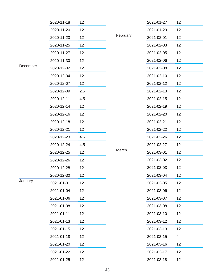|          | 2020-11-18 | 12  |
|----------|------------|-----|
|          | 2020-11-20 | 12  |
|          | 2020-11-23 | 12  |
|          | 2020-11-25 | 12  |
|          | 2020-11-27 | 12  |
|          | 2020-11-30 | 12  |
| December | 2020-12-02 | 12  |
|          | 2020-12-04 | 12  |
|          | 2020-12-07 | 12  |
|          | 2020-12-09 | 2.5 |
|          | 2020-12-11 | 4.5 |
|          | 2020-12-14 | 12  |
|          | 2020-12-16 | 12  |
|          | 2020-12-18 | 12  |
|          | 2020-12-21 | 12  |
|          | 2020-12-23 | 4.5 |
|          | 2020-12-24 | 4.5 |
|          | 2020-12-25 | 12  |
|          | 2020-12-26 | 12  |
|          | 2020-12-28 | 12  |
|          | 2020-12-30 | 12  |
| January  | 2021-01-01 | 12  |
|          | 2021-01-04 | 12  |
|          | 2021-01-06 | 12  |
|          | 2021-01-08 | 12  |
|          | 2021-01-11 | 12  |
|          | 2021-01-13 | 12  |
|          | 2021-01-15 | 12  |
|          | 2021-01-18 | 12  |
|          | 2021-01-20 | 12  |
|          | 2021-01-22 | 12  |
|          | 2021-01-25 | 12  |

|          | 2021-01-27 | 12 |
|----------|------------|----|
|          | 2021-01-29 | 12 |
| February | 2021-02-01 | 12 |
|          | 2021-02-03 | 12 |
|          | 2021-02-05 | 12 |
|          | 2021-02-06 | 12 |
|          | 2021-02-08 | 12 |
|          | 2021-02-10 | 12 |
|          | 2021-02-12 | 12 |
|          | 2021-02-13 | 12 |
|          | 2021-02-15 | 12 |
|          | 2021-02-19 | 12 |
|          | 2021-02-20 | 12 |
|          | 2021-02-21 | 12 |
|          | 2021-02-22 | 12 |
|          | 2021-02-26 | 12 |
|          | 2021-02-27 | 12 |
| March    | 2021-03-01 | 12 |
|          | 2021-03-02 | 12 |
|          | 2021-03-03 | 12 |
|          | 2021-03-04 | 12 |
|          | 2021-03-05 | 12 |
|          | 2021-03-06 | 12 |
|          | 2021-03-07 | 12 |
|          | 2021-03-08 | 12 |
|          | 2021-03-10 | 12 |
|          | 2021-03-12 | 12 |
|          | 2021-03-13 | 12 |
|          | 2021-03-15 | 4  |
|          | 2021-03-16 | 12 |
|          | 2021-03-17 | 12 |
|          | 2021-03-18 | 12 |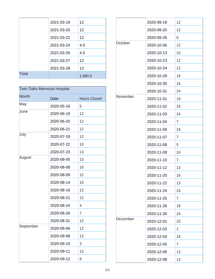|              | 2021-03-19 | 12      |
|--------------|------------|---------|
|              | 2021-03-20 | 12      |
|              | 2021-03-22 | 12      |
|              | 2021-03-24 | 4.5     |
|              | 2021-03-26 | 4.5     |
|              | 2021-03-27 | 12      |
|              | 2021-03-29 | 12      |
| <b>Total</b> |            | 1,980.0 |

| <b>Twin Oaks Memorial Hospital</b> |            |                     |
|------------------------------------|------------|---------------------|
| <b>Month</b>                       | Date       | <b>Hours Closed</b> |
| May                                | 2020-05-16 | 5                   |
| June                               | 2020-06-19 | 12                  |
|                                    | 2020-06-20 | 12                  |
|                                    | 2020-06-21 | 12                  |
| July                               | 2020-07-19 | 12                  |
|                                    | 2020-07-22 | 10                  |
|                                    | 2020-07-23 | 13                  |
| August                             | 2020-08-05 | 13                  |
|                                    | 2020-08-08 | 16                  |
|                                    | 2020-08-09 | 12                  |
|                                    | 2020-08-14 | 15                  |
|                                    | 2020-08-16 | 12                  |
|                                    | 2020-08-21 | 12                  |
|                                    | 2020-08-24 | 4                   |
|                                    | 2020-08-26 | $\overline{7}$      |
|                                    | 2020-08-31 | 12                  |
| September                          | 2020-09-06 | 12                  |
|                                    | 2020-09-08 | 12                  |
|                                    | 2020-09-10 | 3                   |
|                                    | 2020-09-11 | 13                  |
|                                    | 2020-09-12 | 8                   |

|          | 2020-09-19 | 12             |
|----------|------------|----------------|
|          | 2020-09-20 | 12             |
|          | 2020-09-26 | 8              |
| October  | 2020-10-06 | 12             |
|          | 2020-10-13 | 10             |
|          | 2020-10-23 | 12             |
|          | 2020-10-24 | 12             |
|          | 2020-10-28 | 19             |
|          | 2020-10-30 | 24             |
|          | 2020-10-31 | 24             |
| November | 2020-11-01 | 19             |
|          | 2020-11-02 | 24             |
|          | 2020-11-03 | 24             |
|          | 2020-11-04 | 7              |
|          | 2020-11-06 | 24             |
|          | 2020-11-07 | $\overline{7}$ |
|          | 2020-11-08 | 5              |
|          | 2020-11-09 | 24             |
|          | 2020-11-10 | 7              |
|          | 2020-11-12 | 13             |
|          | 2020-11-20 | 16             |
|          | 2020-11-22 | 13             |
|          | 2020-11-24 | 24             |
|          | 2020-11-25 | $\overline{7}$ |
|          | 2020-11-26 | 19             |
|          | 2020-11-30 | 24             |
| December | 2020-12-01 | 23             |
|          | 2020-12-03 | 1              |
|          | 2020-12-04 | 24             |
|          | 2020-12-05 | $\overline{7}$ |
|          | 2020-12-06 | 13             |
|          | 2020-12-08 | 13             |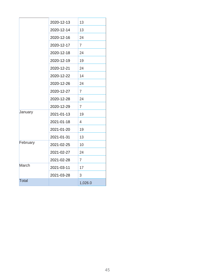|              | 2020-12-13 | 13             |
|--------------|------------|----------------|
|              | 2020-12-14 | 13             |
|              | 2020-12-16 | 24             |
|              | 2020-12-17 | $\overline{7}$ |
|              | 2020-12-18 | 24             |
|              | 2020-12-19 | 19             |
|              | 2020-12-21 | 24             |
|              | 2020-12-22 | 14             |
|              | 2020-12-26 | 24             |
|              | 2020-12-27 | $\overline{7}$ |
|              | 2020-12-28 | 24             |
|              | 2020-12-29 | $\overline{7}$ |
| January      | 2021-01-13 | 19             |
|              | 2021-01-18 | $\overline{4}$ |
|              | 2021-01-20 | 19             |
|              | 2021-01-31 | 13             |
| February     | 2021-02-25 | 10             |
|              | 2021-02-27 | 24             |
|              | 2021-02-28 | $\overline{7}$ |
| March        | 2021-03-11 | 17             |
|              | 2021-03-28 | 3              |
| <b>Total</b> |            | 1,026.0        |